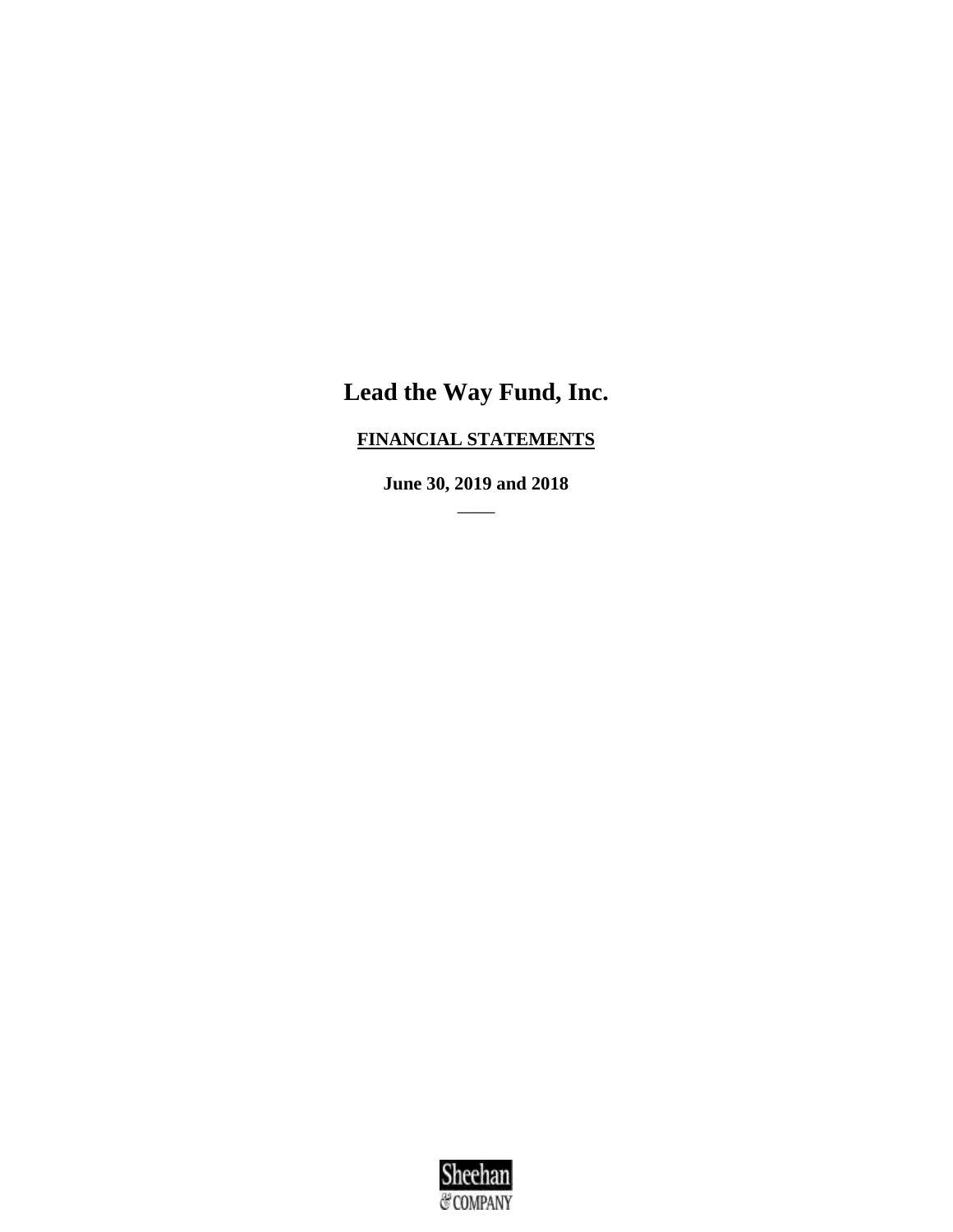### **FINANCIAL STATEMENTS**

**June 30, 2019 and 2018** \_\_\_\_

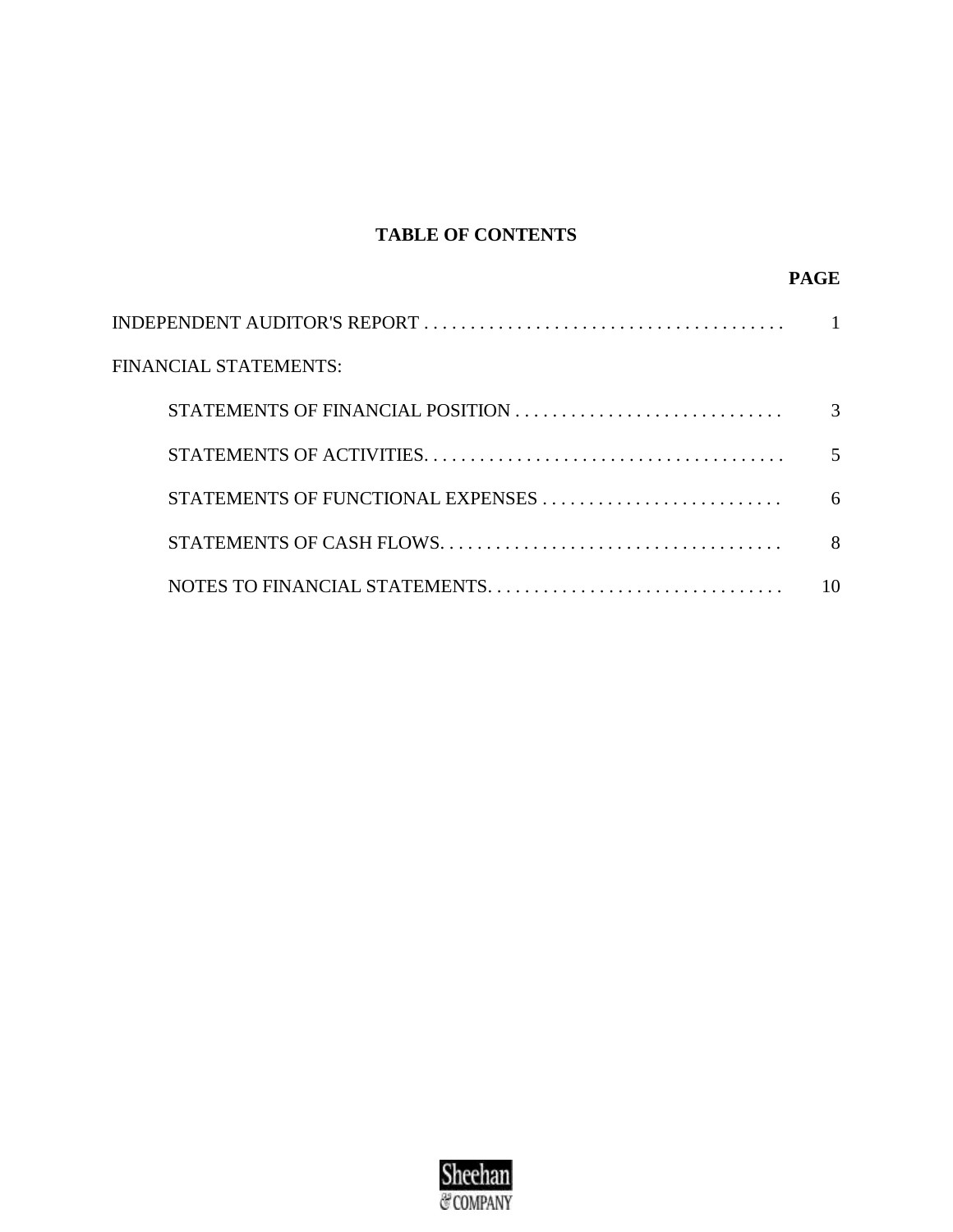### **TABLE OF CONTENTS**

**PAGE**

| FINANCIAL STATEMENTS: |    |
|-----------------------|----|
|                       |    |
|                       |    |
|                       | 6  |
|                       | 8  |
|                       | 10 |

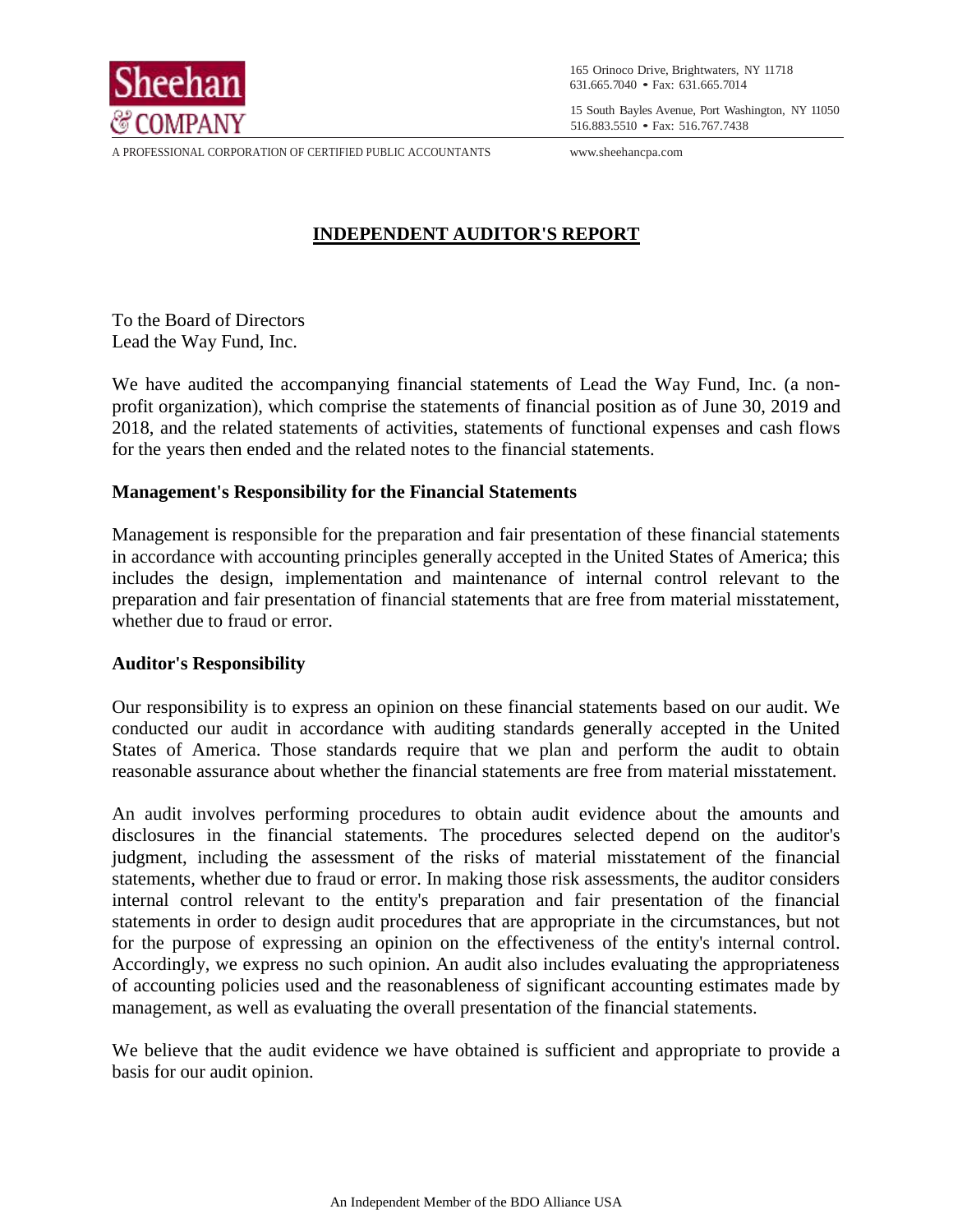

 165 Orinoco Drive, Brightwaters, NY 11718 631.665.7040 • Fax: 631.665.7014

 15 South Bayles Avenue, Port Washington, NY 11050 516.883.5510 • Fax: 516.767.7438

A PROFESSIONAL CORPORATION OF CERTIFIED PUBLIC ACCOUNTANTS [www.sheehancpa.com](http://www.sheehancpa.com/)

### **INDEPENDENT AUDITOR'S REPORT**

To the Board of Directors Lead the Way Fund, Inc.

We have audited the accompanying financial statements of Lead the Way Fund, Inc. (a nonprofit organization), which comprise the statements of financial position as of June 30, 2019 and 2018, and the related statements of activities, statements of functional expenses and cash flows for the years then ended and the related notes to the financial statements.

#### **Management's Responsibility for the Financial Statements**

Management is responsible for the preparation and fair presentation of these financial statements in accordance with accounting principles generally accepted in the United States of America; this includes the design, implementation and maintenance of internal control relevant to the preparation and fair presentation of financial statements that are free from material misstatement, whether due to fraud or error.

#### **Auditor's Responsibility**

Our responsibility is to express an opinion on these financial statements based on our audit. We conducted our audit in accordance with auditing standards generally accepted in the United States of America. Those standards require that we plan and perform the audit to obtain reasonable assurance about whether the financial statements are free from material misstatement.

An audit involves performing procedures to obtain audit evidence about the amounts and disclosures in the financial statements. The procedures selected depend on the auditor's judgment, including the assessment of the risks of material misstatement of the financial statements, whether due to fraud or error. In making those risk assessments, the auditor considers internal control relevant to the entity's preparation and fair presentation of the financial statements in order to design audit procedures that are appropriate in the circumstances, but not for the purpose of expressing an opinion on the effectiveness of the entity's internal control. Accordingly, we express no such opinion. An audit also includes evaluating the appropriateness of accounting policies used and the reasonableness of significant accounting estimates made by management, as well as evaluating the overall presentation of the financial statements.

We believe that the audit evidence we have obtained is sufficient and appropriate to provide a basis for our audit opinion.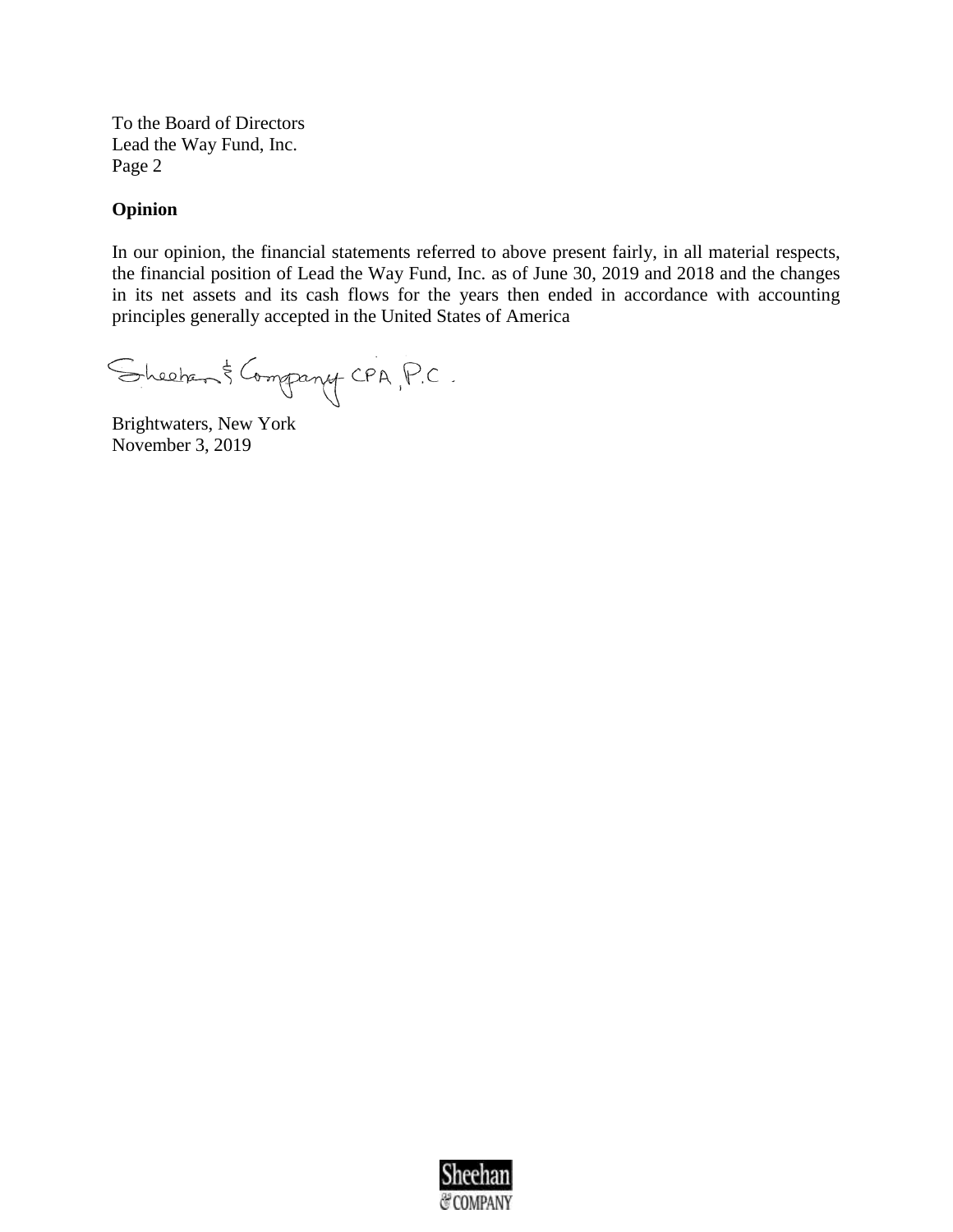To the Board of Directors Lead the Way Fund, Inc. Page 2

#### **Opinion**

In our opinion, the financial statements referred to above present fairly, in all material respects, the financial position of Lead the Way Fund, Inc. as of June 30, 2019 and 2018 and the changes in its net assets and its cash flows for the years then ended in accordance with accounting principles generally accepted in the United States of America

Sheeher & Company CPA, P.C.

Brightwaters, New York November 3, 2019

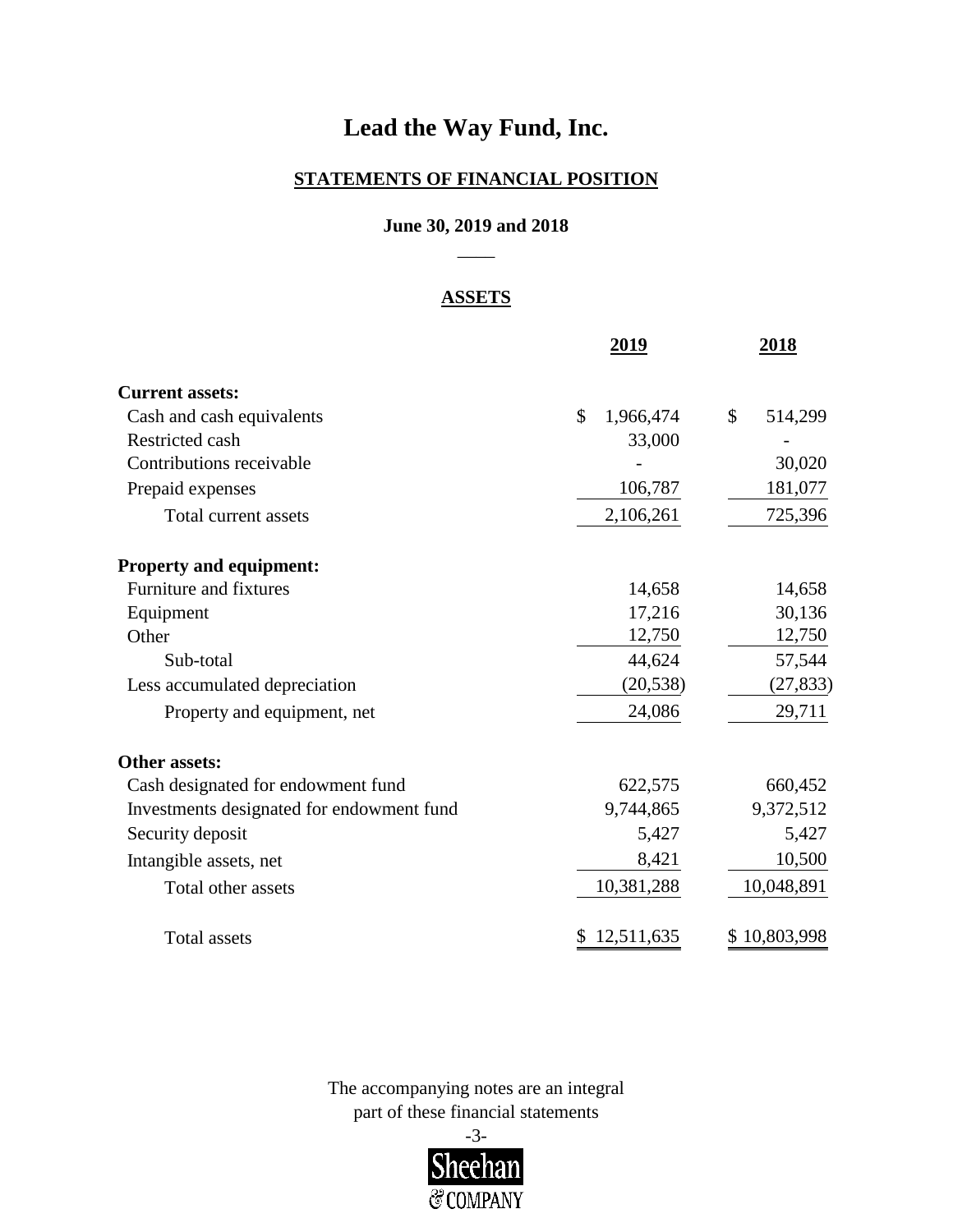#### **STATEMENTS OF FINANCIAL POSITION**

### **June 30, 2019 and 2018**  $\overline{\phantom{a}}$

### **ASSETS**

|                                           | 2019            | 2018          |
|-------------------------------------------|-----------------|---------------|
| <b>Current assets:</b>                    |                 |               |
| Cash and cash equivalents                 | \$<br>1,966,474 | \$<br>514,299 |
| Restricted cash                           | 33,000          |               |
| Contributions receivable                  |                 | 30,020        |
| Prepaid expenses                          | 106,787         | 181,077       |
| Total current assets                      | 2,106,261       | 725,396       |
| <b>Property and equipment:</b>            |                 |               |
| <b>Furniture and fixtures</b>             | 14,658          | 14,658        |
| Equipment                                 | 17,216          | 30,136        |
| Other                                     | 12,750          | 12,750        |
| Sub-total                                 | 44,624          | 57,544        |
| Less accumulated depreciation             | (20, 538)       | (27, 833)     |
| Property and equipment, net               | 24,086          | 29,711        |
| <b>Other assets:</b>                      |                 |               |
| Cash designated for endowment fund        | 622,575         | 660,452       |
| Investments designated for endowment fund | 9,744,865       | 9,372,512     |
| Security deposit                          | 5,427           | 5,427         |
| Intangible assets, net                    | 8,421           | 10,500        |
| Total other assets                        | 10,381,288      | 10,048,891    |
| <b>Total assets</b>                       | \$12,511,635    | \$10,803,998  |

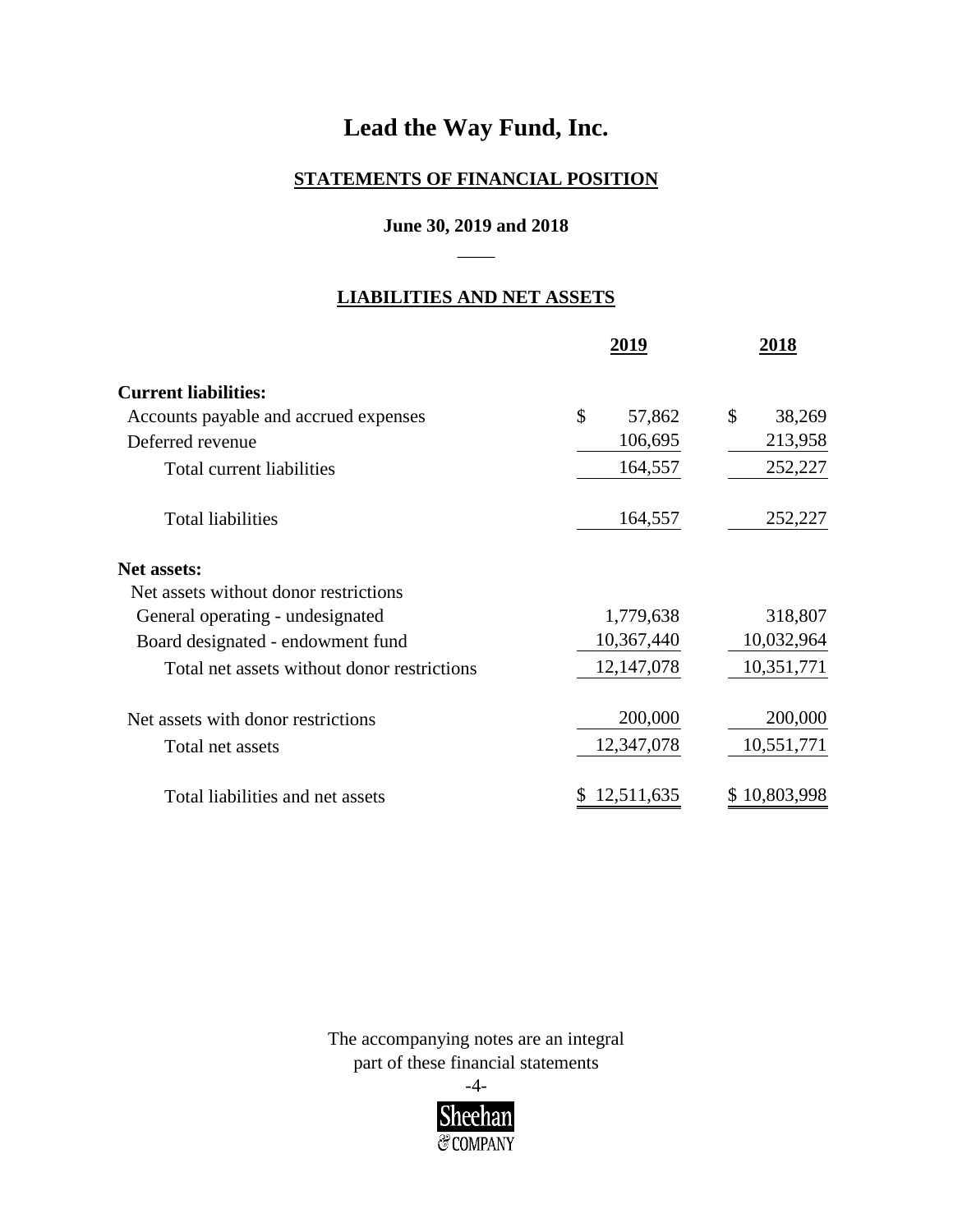#### **STATEMENTS OF FINANCIAL POSITION**

### **June 30, 2019 and 2018**  $\overline{\phantom{a}}$

#### **LIABILITIES AND NET ASSETS**

|                                             | 2019         | 2018         |
|---------------------------------------------|--------------|--------------|
| <b>Current liabilities:</b>                 |              |              |
| Accounts payable and accrued expenses       | \$<br>57,862 | \$<br>38,269 |
| Deferred revenue                            | 106,695      | 213,958      |
| Total current liabilities                   | 164,557      | 252,227      |
| <b>Total liabilities</b>                    | 164,557      | 252,227      |
| <b>Net assets:</b>                          |              |              |
| Net assets without donor restrictions       |              |              |
| General operating - undesignated            | 1,779,638    | 318,807      |
| Board designated - endowment fund           | 10,367,440   | 10,032,964   |
| Total net assets without donor restrictions | 12, 147, 078 | 10,351,771   |
| Net assets with donor restrictions          | 200,000      | 200,000      |
| Total net assets                            | 12,347,078   | 10,551,771   |
| Total liabilities and net assets            | 12,511,635   | 10,803,998   |

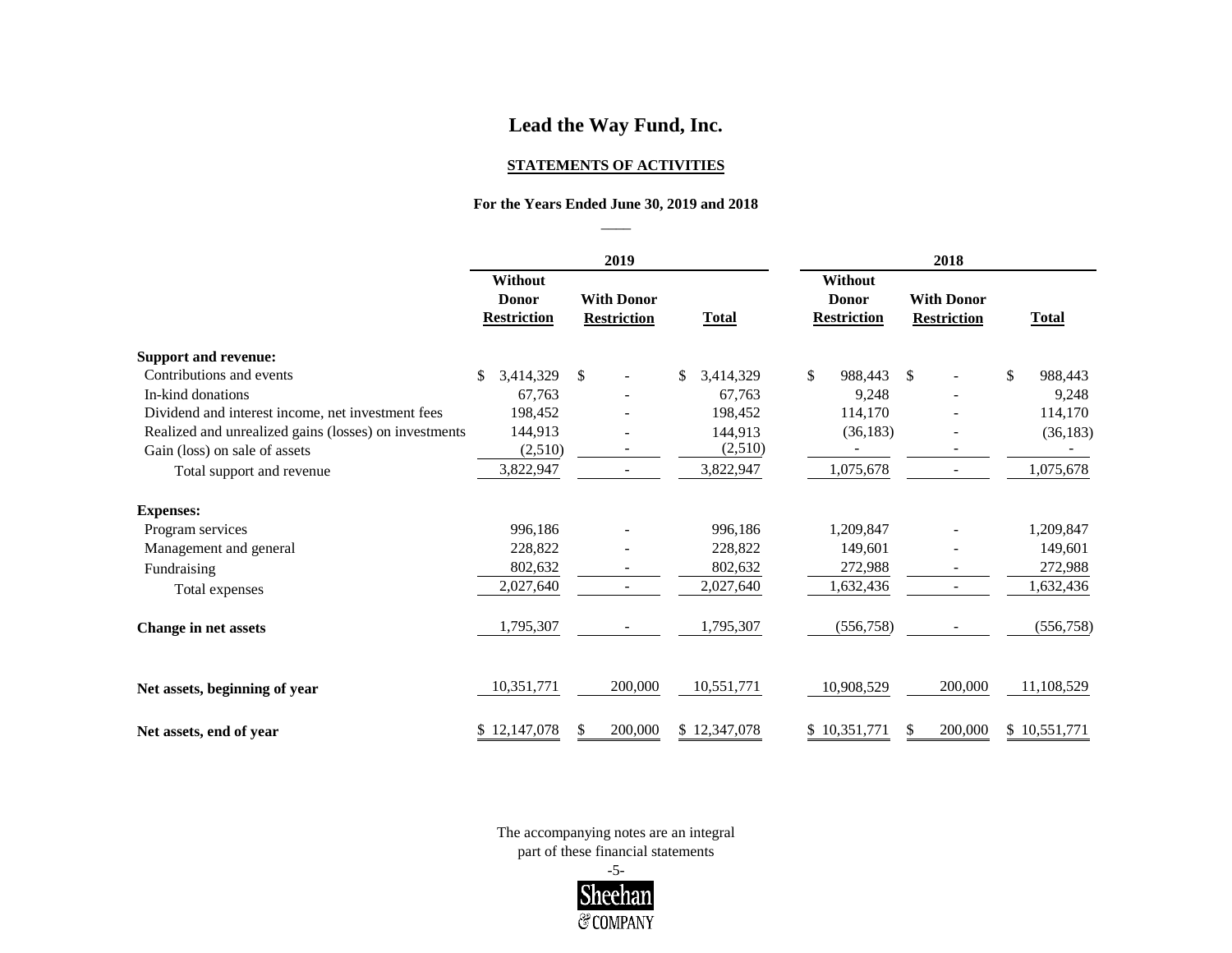#### **STATEMENTS OF ACTIVITIES**

#### **For the Years Ended June 30, 2019 and 2018**  $\overline{\phantom{a}}$

|                                                       |                                               | 2019                                    |                 | 2018                                          |                                         |               |  |  |  |  |  |
|-------------------------------------------------------|-----------------------------------------------|-----------------------------------------|-----------------|-----------------------------------------------|-----------------------------------------|---------------|--|--|--|--|--|
|                                                       | Without<br><b>Donor</b><br><b>Restriction</b> | <b>With Donor</b><br><b>Restriction</b> | <b>Total</b>    | Without<br><b>Donor</b><br><b>Restriction</b> | <b>With Donor</b><br><b>Restriction</b> | <b>Total</b>  |  |  |  |  |  |
| <b>Support and revenue:</b>                           |                                               |                                         |                 |                                               |                                         |               |  |  |  |  |  |
| Contributions and events                              | 3,414,329<br>\$                               | <sup>\$</sup>                           | 3,414,329<br>\$ | \$<br>988,443                                 | $\mathbb{S}$                            | \$<br>988,443 |  |  |  |  |  |
| In-kind donations                                     | 67,763                                        |                                         | 67,763          | 9,248                                         |                                         | 9,248         |  |  |  |  |  |
| Dividend and interest income, net investment fees     | 198,452                                       |                                         | 198,452         | 114,170                                       |                                         | 114,170       |  |  |  |  |  |
| Realized and unrealized gains (losses) on investments | 144,913                                       |                                         | 144,913         | (36, 183)                                     |                                         | (36, 183)     |  |  |  |  |  |
| Gain (loss) on sale of assets                         | (2,510)                                       |                                         | (2,510)         |                                               |                                         |               |  |  |  |  |  |
| Total support and revenue                             | 3,822,947                                     |                                         | 3,822,947       | 1,075,678                                     |                                         | 1,075,678     |  |  |  |  |  |
| <b>Expenses:</b>                                      |                                               |                                         |                 |                                               |                                         |               |  |  |  |  |  |
| Program services                                      | 996,186                                       |                                         | 996,186         | 1,209,847                                     |                                         | 1,209,847     |  |  |  |  |  |
| Management and general                                | 228,822                                       |                                         | 228,822         | 149,601                                       |                                         | 149,601       |  |  |  |  |  |
| Fundraising                                           | 802,632                                       |                                         | 802,632         | 272,988                                       |                                         | 272,988       |  |  |  |  |  |
| Total expenses                                        | 2,027,640                                     | $\overline{\phantom{a}}$                | 2,027,640       | 1,632,436                                     | $\overline{\phantom{a}}$                | 1,632,436     |  |  |  |  |  |
| <b>Change in net assets</b>                           | 1,795,307                                     |                                         | 1,795,307       | (556, 758)                                    |                                         | (556, 758)    |  |  |  |  |  |
| Net assets, beginning of year                         | 10,351,771                                    | 200,000                                 | 10,551,771      | 10,908,529                                    | 200,000                                 | 11,108,529    |  |  |  |  |  |
| Net assets, end of year                               | \$12,147,078                                  | 200,000                                 | \$12,347,078    | \$10,351,771                                  | 200,000<br>S                            | \$10,551,771  |  |  |  |  |  |

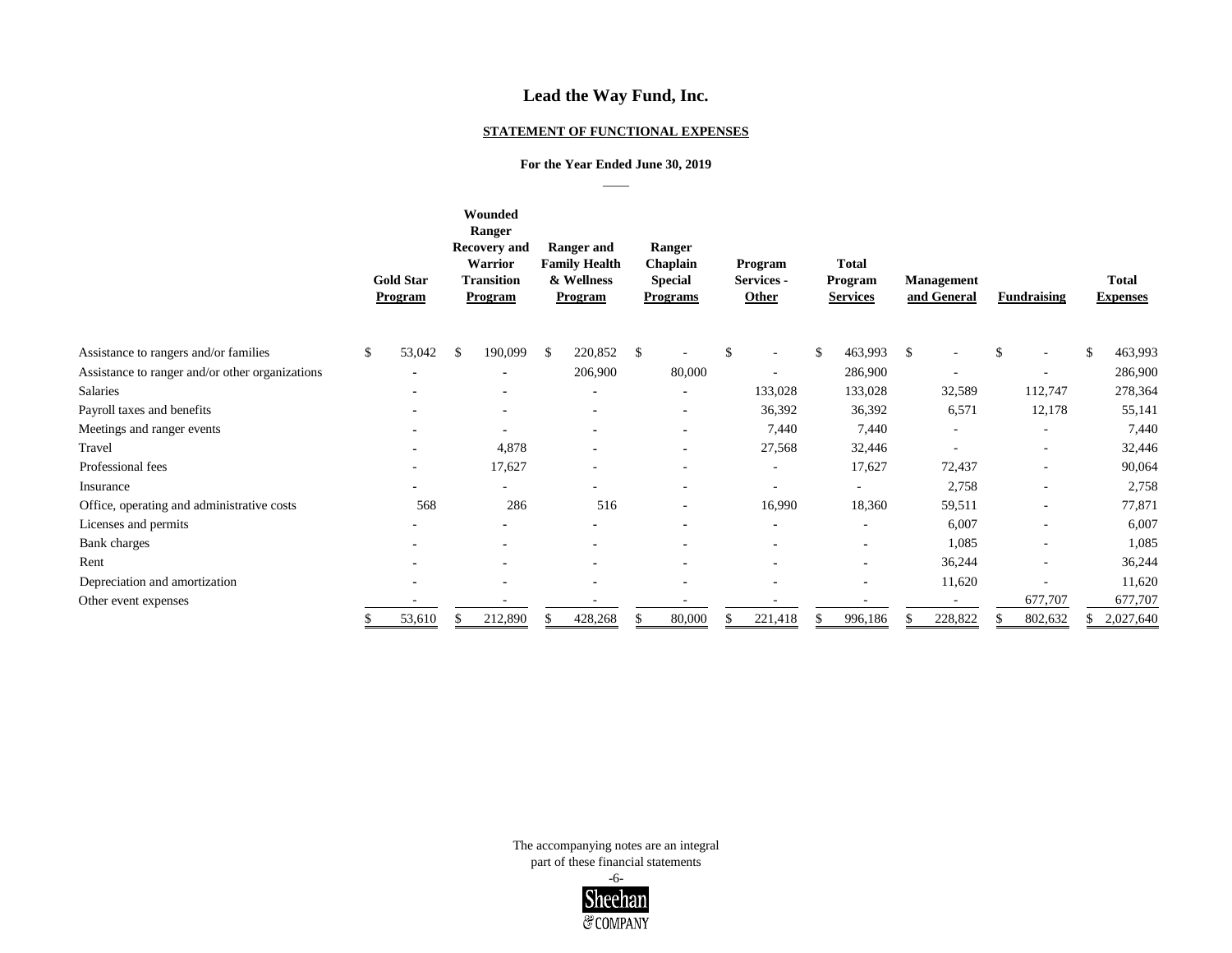#### **STATEMENT OF FUNCTIONAL EXPENSES**

#### $\overline{\phantom{a}}$ **For the Year Ended June 30, 2019**

|                                                 |              | <b>Gold Star</b><br><b>Program</b> |     | Wounded<br>Ranger<br><b>Recovery and</b><br><b>Warrior</b><br><b>Transition</b><br><b>Program</b> |               | Ranger and<br><b>Family Health</b><br>& Wellness<br><b>Program</b> |               | Ranger<br>Chaplain<br><b>Special</b><br><b>Programs</b> | Program<br>Services -<br>Other |               | <b>Total</b><br>Program<br><b>Services</b> |               | <b>Management</b><br>and General |               | <b>Fundraising</b> | <b>Total</b><br><b>Expenses</b> |
|-------------------------------------------------|--------------|------------------------------------|-----|---------------------------------------------------------------------------------------------------|---------------|--------------------------------------------------------------------|---------------|---------------------------------------------------------|--------------------------------|---------------|--------------------------------------------|---------------|----------------------------------|---------------|--------------------|---------------------------------|
| Assistance to rangers and/or families           | $\mathbb{S}$ | 53,042                             | -\$ | 190,099                                                                                           | <sup>\$</sup> | 220,852                                                            | <sup>\$</sup> |                                                         | \$<br>$\sim$                   | <sup>\$</sup> | 463,993                                    | <sup>\$</sup> |                                  | $\mathcal{S}$ |                    | \$<br>463,993                   |
| Assistance to ranger and/or other organizations |              |                                    |     |                                                                                                   |               | 206,900                                                            |               | 80,000                                                  |                                |               | 286,900                                    |               |                                  |               |                    | 286,900                         |
| <b>Salaries</b>                                 |              |                                    |     |                                                                                                   |               |                                                                    |               | $\blacksquare$                                          | 133,028                        |               | 133,028                                    |               | 32,589                           |               | 112,747            | 278,364                         |
| Payroll taxes and benefits                      |              |                                    |     | $\blacksquare$                                                                                    |               | ٠                                                                  |               | $\blacksquare$                                          | 36,392                         |               | 36,392                                     |               | 6,571                            |               | 12,178             | 55,141                          |
| Meetings and ranger events                      |              |                                    |     |                                                                                                   |               |                                                                    |               | ۰                                                       | 7,440                          |               | 7,440                                      |               |                                  |               |                    | 7,440                           |
| Travel                                          |              |                                    |     | 4,878                                                                                             |               |                                                                    |               | $\blacksquare$                                          | 27,568                         |               | 32,446                                     |               |                                  |               | ٠                  | 32,446                          |
| Professional fees                               |              |                                    |     | 17,627                                                                                            |               | ٠                                                                  |               | $\overline{\phantom{a}}$                                | $\sim$                         |               | 17,627                                     |               | 72,437                           |               | ٠                  | 90,064                          |
| Insurance                                       |              |                                    |     |                                                                                                   |               |                                                                    |               | ۰                                                       | ۰                              |               | ٠                                          |               | 2,758                            |               |                    | 2,758                           |
| Office, operating and administrative costs      |              | 568                                |     | 286                                                                                               |               | 516                                                                |               | ۰                                                       | 16,990                         |               | 18,360                                     |               | 59,511                           |               | ۰                  | 77,871                          |
| Licenses and permits                            |              |                                    |     | $\blacksquare$                                                                                    |               | ٠                                                                  |               | ۰                                                       | $\overline{\phantom{a}}$       |               | $\overline{\phantom{a}}$                   |               | 6,007                            |               | ۰                  | 6,007                           |
| Bank charges                                    |              |                                    |     |                                                                                                   |               |                                                                    |               | $\blacksquare$                                          | $\blacksquare$                 |               | $\blacksquare$                             |               | 1,085                            |               | ٠                  | 1,085                           |
| Rent                                            |              |                                    |     |                                                                                                   |               |                                                                    |               |                                                         | $\blacksquare$                 |               | $\blacksquare$                             |               | 36,244                           |               | ۰                  | 36,244                          |
| Depreciation and amortization                   |              |                                    |     |                                                                                                   |               | ٠                                                                  |               | $\blacksquare$                                          | $\blacksquare$                 |               | $\overline{\phantom{0}}$                   |               | 11,620                           |               | ٠                  | 11,620                          |
| Other event expenses                            |              |                                    |     |                                                                                                   |               |                                                                    |               |                                                         |                                |               |                                            |               |                                  |               | 677,707            | 677,707                         |
|                                                 |              | 53,610                             |     | 212,890                                                                                           |               | 428,268                                                            | \$            | 80,000                                                  | \$<br>221,418                  | Ъ,            | 996,186                                    |               | 228,822                          |               | 802,632            | 2,027,640                       |

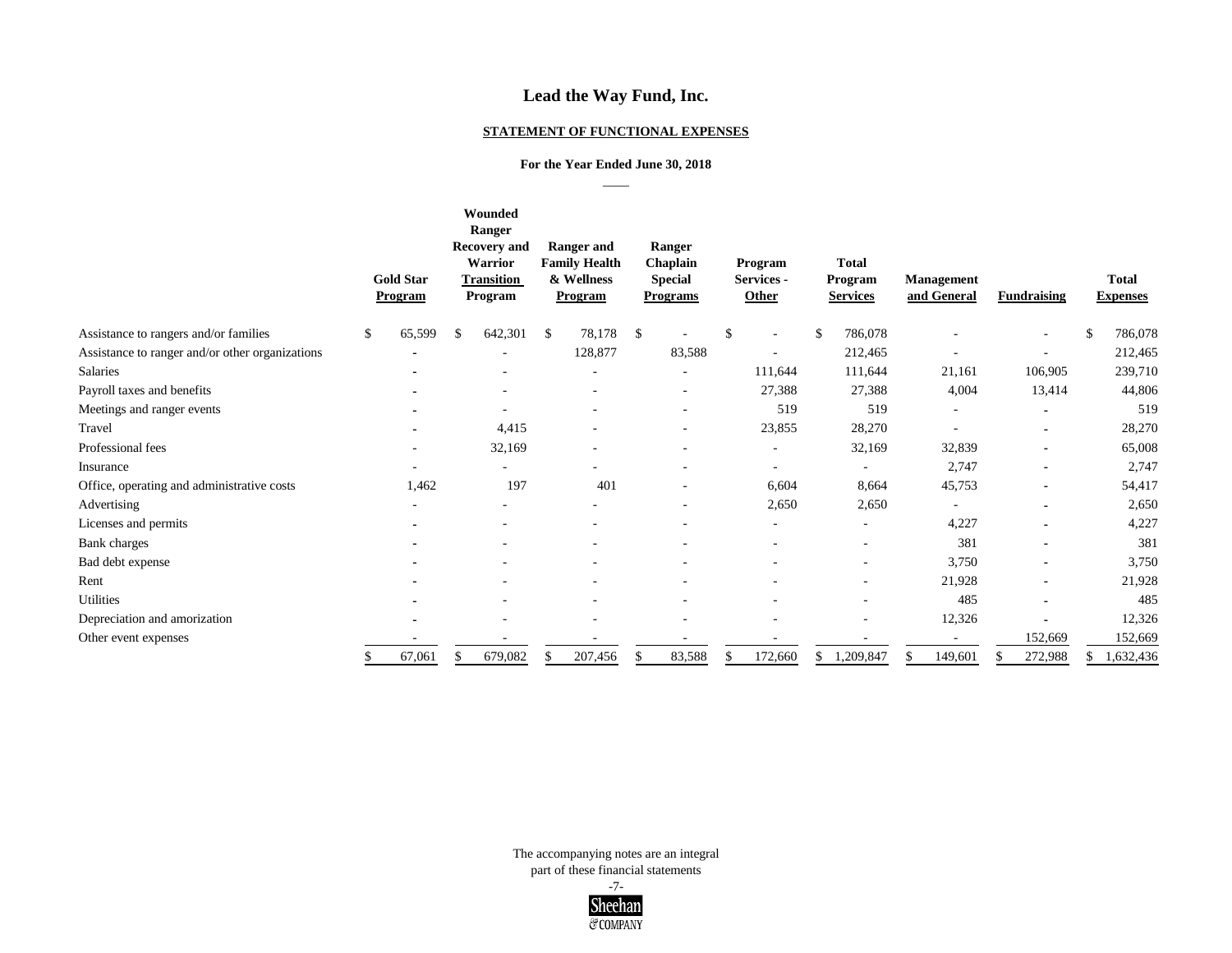#### **STATEMENT OF FUNCTIONAL EXPENSES**

#### **For the Year Ended June 30, 2018**  $\overline{\phantom{a}}$

|                                                 | <b>Gold Star</b><br><b>Program</b> |               | Wounded<br>Ranger<br><b>Recovery and</b><br><b>Warrior</b><br><b>Transition</b><br>Program |              | <b>Ranger and</b><br><b>Family Health</b><br>& Wellness<br><b>Program</b> | Ranger<br>Chaplain<br><b>Special</b><br><b>Programs</b> |               | Program<br>Services -<br>Other |              | <b>Total</b><br>Program<br><b>Services</b> | <b>Management</b><br>and General | <b>Fundraising</b> | <b>Total</b><br><b>Expenses</b> |
|-------------------------------------------------|------------------------------------|---------------|--------------------------------------------------------------------------------------------|--------------|---------------------------------------------------------------------------|---------------------------------------------------------|---------------|--------------------------------|--------------|--------------------------------------------|----------------------------------|--------------------|---------------------------------|
| Assistance to rangers and/or families           | \$<br>65,599                       | <sup>\$</sup> | 642,301                                                                                    | $\mathbb{S}$ | 78,178                                                                    | \$                                                      | $\mathcal{S}$ | $\sim$                         | $\mathbb{S}$ | 786,078                                    |                                  | $\sim$             | \$<br>786,078                   |
| Assistance to ranger and/or other organizations |                                    |               |                                                                                            |              | 128,877                                                                   | 83,588                                                  |               | $\overline{\phantom{a}}$       |              | 212,465                                    | $\overline{\phantom{a}}$         | $\sim$             | 212,465                         |
| Salaries                                        |                                    |               |                                                                                            |              |                                                                           | ٠                                                       |               | 111,644                        |              | 111,644                                    | 21,161                           | 106,905            | 239,710                         |
| Payroll taxes and benefits                      |                                    |               |                                                                                            |              | $\overline{\phantom{a}}$                                                  | $\overline{\phantom{a}}$                                |               | 27,388                         |              | 27,388                                     | 4,004                            | 13,414             | 44,806                          |
| Meetings and ranger events                      |                                    |               |                                                                                            |              | $\overline{\phantom{a}}$                                                  | $\overline{\phantom{a}}$                                |               | 519                            |              | 519                                        |                                  |                    | 519                             |
| Travel                                          |                                    |               | 4,415                                                                                      |              | $\overline{\phantom{a}}$                                                  | $\overline{\phantom{a}}$                                |               | 23,855                         |              | 28,270                                     | $\overline{\phantom{a}}$         | ٠                  | 28,270                          |
| Professional fees                               |                                    |               | 32,169                                                                                     |              |                                                                           | ٠                                                       |               | $\overline{\phantom{a}}$       |              | 32,169                                     | 32,839                           |                    | 65,008                          |
| Insurance                                       |                                    |               |                                                                                            |              |                                                                           | $\overline{\phantom{a}}$                                |               | $\sim$                         |              |                                            | 2,747                            |                    | 2,747                           |
| Office, operating and administrative costs      | 1,462                              |               | 197                                                                                        |              | 401                                                                       | ٠                                                       |               | 6,604                          |              | 8,664                                      | 45,753                           |                    | 54,417                          |
| Advertising                                     |                                    |               |                                                                                            |              |                                                                           | ٠                                                       |               | 2,650                          |              | 2,650                                      |                                  |                    | 2,650                           |
| Licenses and permits                            |                                    |               |                                                                                            |              |                                                                           |                                                         |               | ٠                              |              |                                            | 4,227                            |                    | 4,227                           |
| Bank charges                                    |                                    |               |                                                                                            |              |                                                                           |                                                         |               |                                |              |                                            | 381                              |                    | 381                             |
| Bad debt expense                                |                                    |               |                                                                                            |              |                                                                           |                                                         |               |                                |              |                                            | 3,750                            |                    | 3,750                           |
| Rent                                            |                                    |               |                                                                                            |              |                                                                           |                                                         |               |                                |              |                                            | 21,928                           | $\blacksquare$     | 21,928                          |
| <b>Utilities</b>                                |                                    |               |                                                                                            |              |                                                                           |                                                         |               | ۰                              |              | $\overline{\phantom{a}}$                   | 485                              |                    | 485                             |
| Depreciation and amorization                    |                                    |               |                                                                                            |              |                                                                           |                                                         |               | ٠                              |              |                                            | 12,326                           |                    | 12,326                          |
| Other event expenses                            |                                    |               |                                                                                            |              |                                                                           | ٠                                                       |               | $\overline{\phantom{a}}$       |              |                                            |                                  | 152,669            | 152,669                         |
|                                                 | \$<br>67,061                       |               | 679,082                                                                                    | \$           | 207,456                                                                   | \$<br>83,588                                            | \$            | 172,660                        | \$           | 1,209,847                                  | 149,601                          | 272,988            | 1,632,436                       |

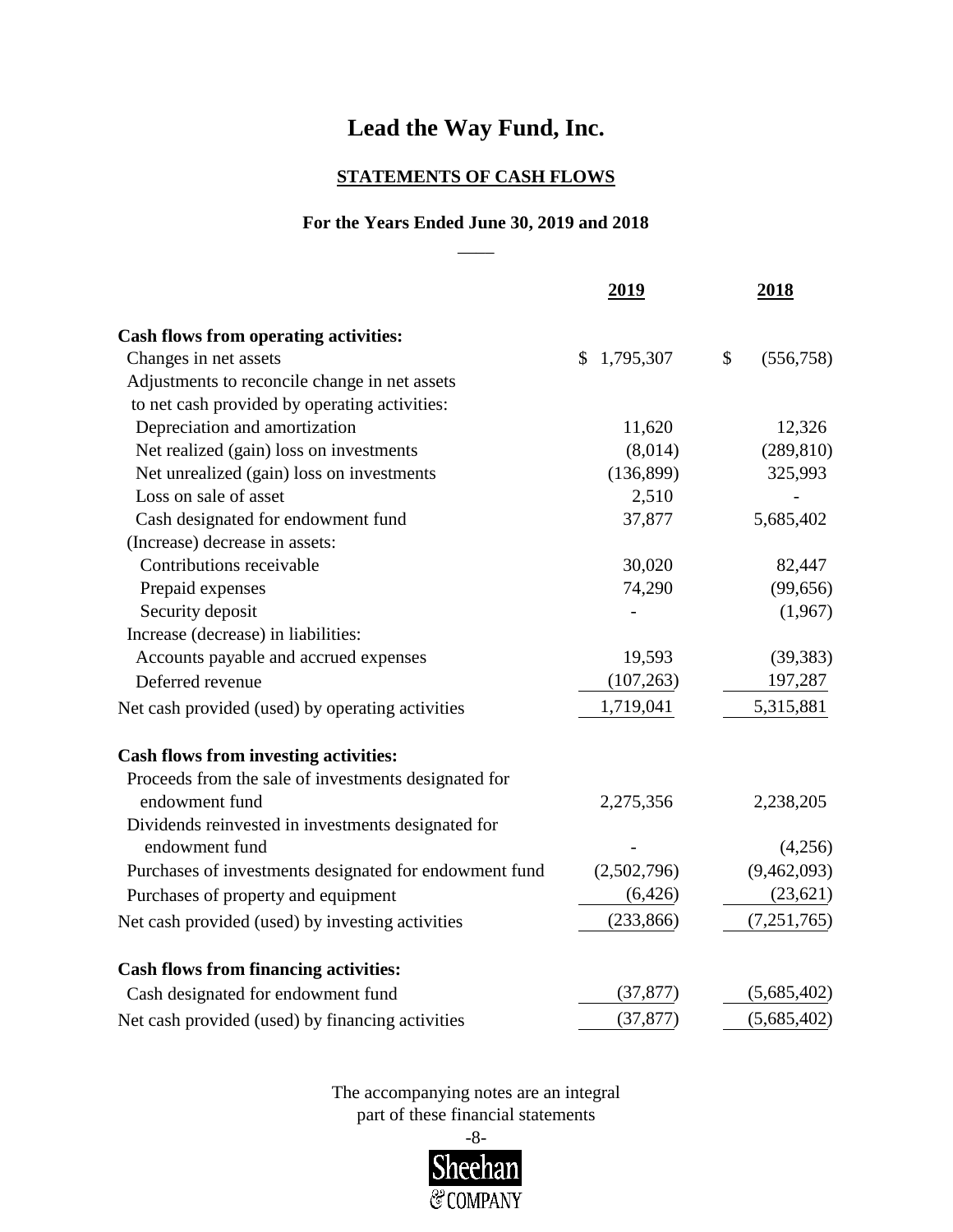#### **STATEMENTS OF CASH FLOWS**

#### $\overline{\phantom{a}}$ **For the Years Ended June 30, 2019 and 2018**

|                                                        | 2019            | 2018             |
|--------------------------------------------------------|-----------------|------------------|
| <b>Cash flows from operating activities:</b>           |                 |                  |
| Changes in net assets                                  | 1,795,307<br>\$ | \$<br>(556, 758) |
| Adjustments to reconcile change in net assets          |                 |                  |
| to net cash provided by operating activities:          |                 |                  |
| Depreciation and amortization                          | 11,620          | 12,326           |
| Net realized (gain) loss on investments                | (8,014)         | (289, 810)       |
| Net unrealized (gain) loss on investments              | (136, 899)      | 325,993          |
| Loss on sale of asset                                  | 2,510           |                  |
| Cash designated for endowment fund                     | 37,877          | 5,685,402        |
| (Increase) decrease in assets:                         |                 |                  |
| Contributions receivable                               | 30,020          | 82,447           |
| Prepaid expenses                                       | 74,290          | (99, 656)        |
| Security deposit                                       |                 | (1,967)          |
| Increase (decrease) in liabilities:                    |                 |                  |
| Accounts payable and accrued expenses                  | 19,593          | (39, 383)        |
| Deferred revenue                                       | (107, 263)      | 197,287          |
| Net cash provided (used) by operating activities       | 1,719,041       | 5,315,881        |
| <b>Cash flows from investing activities:</b>           |                 |                  |
| Proceeds from the sale of investments designated for   |                 |                  |
| endowment fund                                         | 2,275,356       | 2,238,205        |
| Dividends reinvested in investments designated for     |                 |                  |
| endowment fund                                         |                 | (4,256)          |
| Purchases of investments designated for endowment fund | (2,502,796)     | (9,462,093)      |
| Purchases of property and equipment                    | (6,426)         | (23, 621)        |
| Net cash provided (used) by investing activities       | (233, 866)      | (7,251,765)      |
| <b>Cash flows from financing activities:</b>           |                 |                  |
| Cash designated for endowment fund                     | (37, 877)       | (5,685,402)      |
| Net cash provided (used) by financing activities       | (37, 877)       | (5,685,402)      |

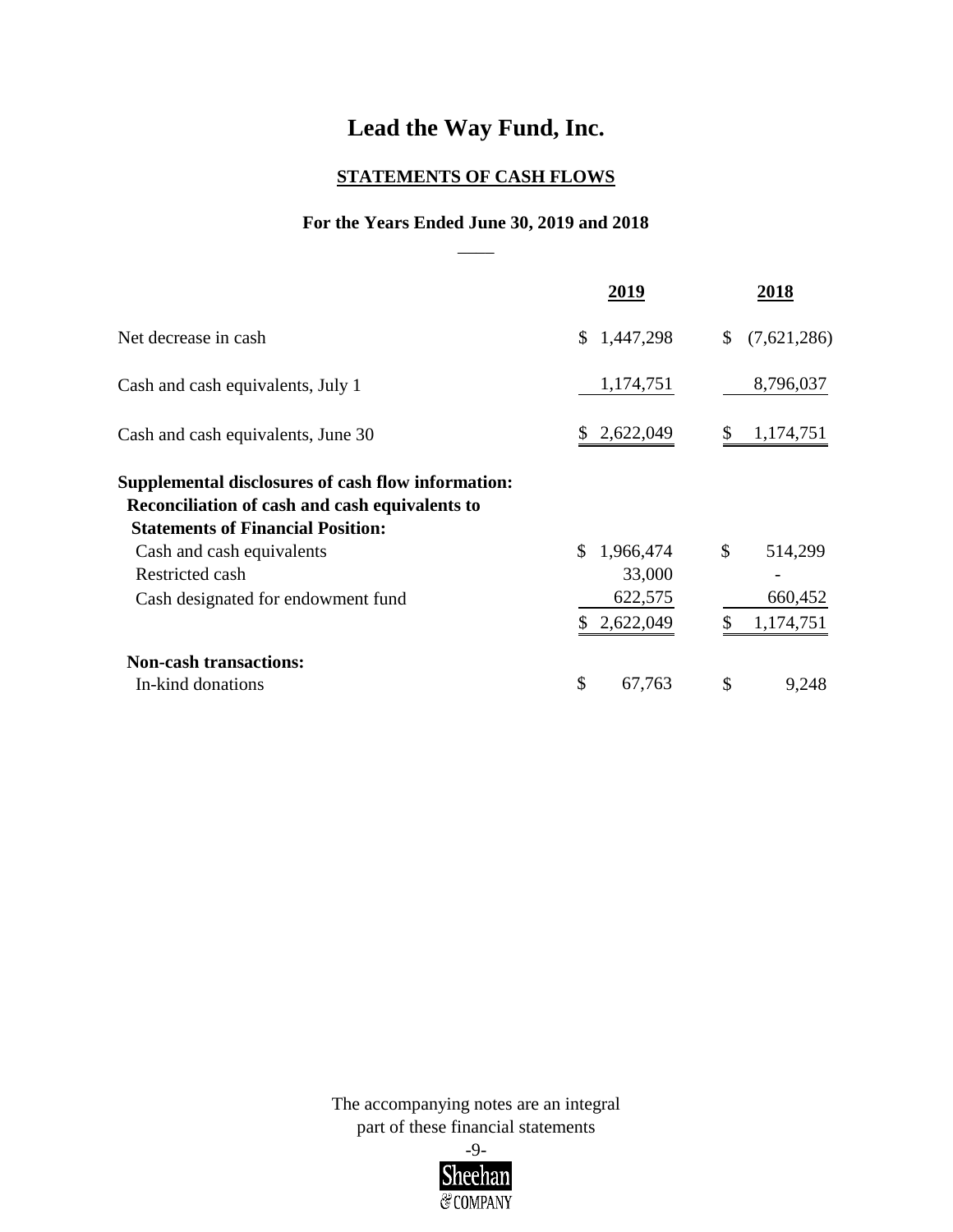### **STATEMENTS OF CASH FLOWS**

#### **For the Years Ended June 30, 2019 and 2018**  $\overline{\phantom{a}}$

|                                                                                                                                                                                                                                        | 2019                                 | 2018                     |
|----------------------------------------------------------------------------------------------------------------------------------------------------------------------------------------------------------------------------------------|--------------------------------------|--------------------------|
| Net decrease in cash                                                                                                                                                                                                                   | 1,447,298<br><sup>\$</sup>           | (7,621,286)<br>\$        |
| Cash and cash equivalents, July 1                                                                                                                                                                                                      | 1,174,751                            | 8,796,037                |
| Cash and cash equivalents, June 30                                                                                                                                                                                                     | 2,622,049<br>S.                      | 1,174,751                |
| Supplemental disclosures of cash flow information:<br>Reconciliation of cash and cash equivalents to<br><b>Statements of Financial Position:</b><br>Cash and cash equivalents<br>Restricted cash<br>Cash designated for endowment fund | \$<br>1,966,474<br>33,000<br>622,575 | \$<br>514,299<br>660,452 |
|                                                                                                                                                                                                                                        | 2,622,049                            | 1,174,751                |
| <b>Non-cash transactions:</b><br>In-kind donations                                                                                                                                                                                     | \$<br>67,763                         | \$<br>9,248              |

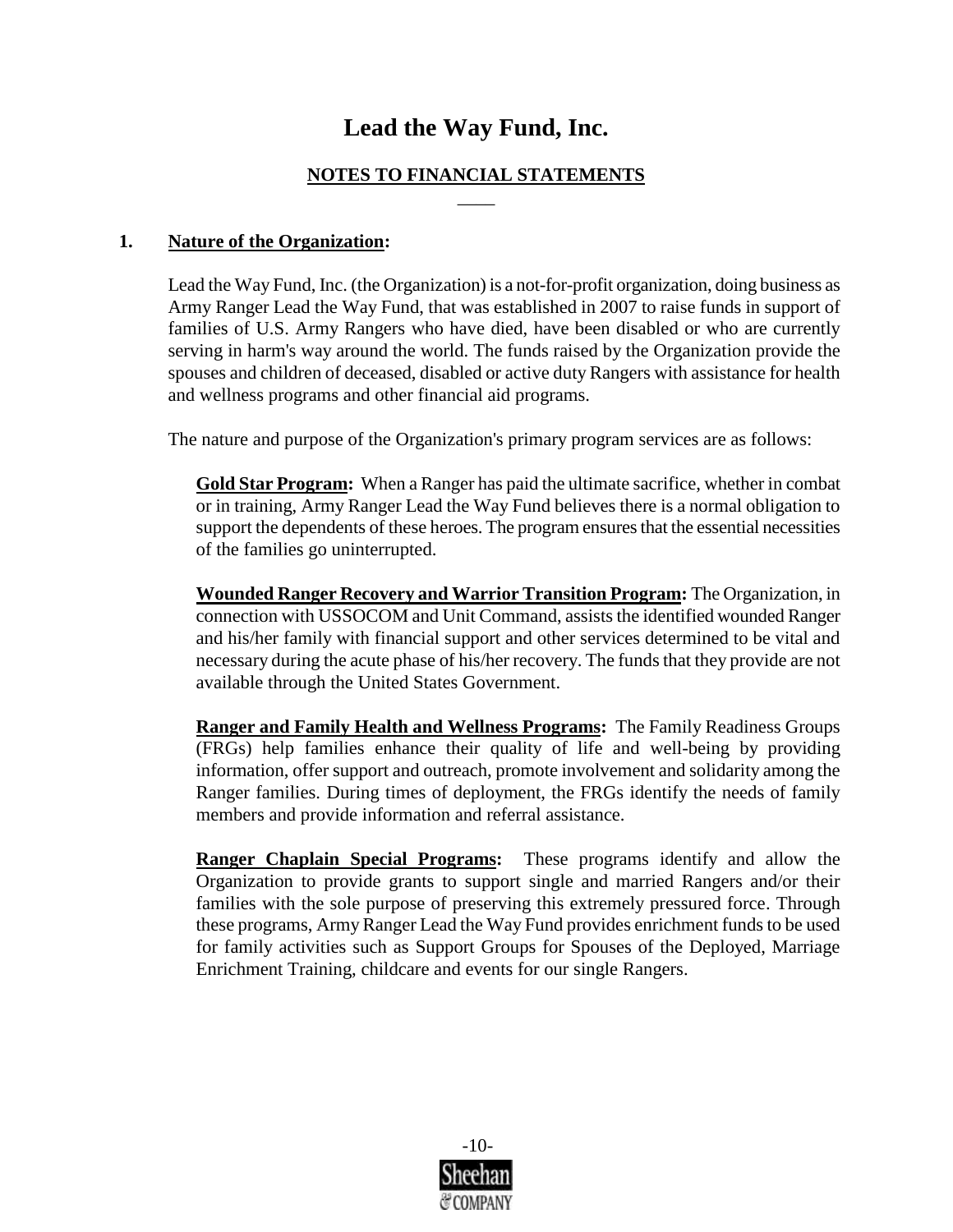#### **NOTES TO FINANCIAL STATEMENTS**  $\overline{\phantom{a}}$

#### **1. Nature of the Organization:**

Lead the Way Fund, Inc. (the Organization) is a not-for-profit organization, doing business as Army Ranger Lead the Way Fund, that was established in 2007 to raise funds in support of families of U.S. Army Rangers who have died, have been disabled or who are currently serving in harm's way around the world. The funds raised by the Organization provide the spouses and children of deceased, disabled or active duty Rangers with assistance for health and wellness programs and other financial aid programs.

The nature and purpose of the Organization's primary program services are as follows:

**Gold Star Program:** When a Ranger has paid the ultimate sacrifice, whether in combat or in training, Army Ranger Lead the Way Fund believes there is a normal obligation to support the dependents of these heroes. The program ensures that the essential necessities of the families go uninterrupted.

**Wounded Ranger Recovery and Warrior Transition Program:** The Organization, in connection with USSOCOM and Unit Command, assists the identified wounded Ranger and his/her family with financial support and other services determined to be vital and necessary during the acute phase of his/her recovery. The funds that they provide are not available through the United States Government.

**Ranger and Family Health and Wellness Programs:** The Family Readiness Groups (FRGs) help families enhance their quality of life and well-being by providing information, offer support and outreach, promote involvement and solidarity among the Ranger families. During times of deployment, the FRGs identify the needs of family members and provide information and referral assistance.

**Ranger Chaplain Special Programs:** These programs identify and allow the Organization to provide grants to support single and married Rangers and/or their families with the sole purpose of preserving this extremely pressured force. Through these programs, Army Ranger Lead the Way Fund provides enrichment funds to be used for family activities such as Support Groups for Spouses of the Deployed, Marriage Enrichment Training, childcare and events for our single Rangers.

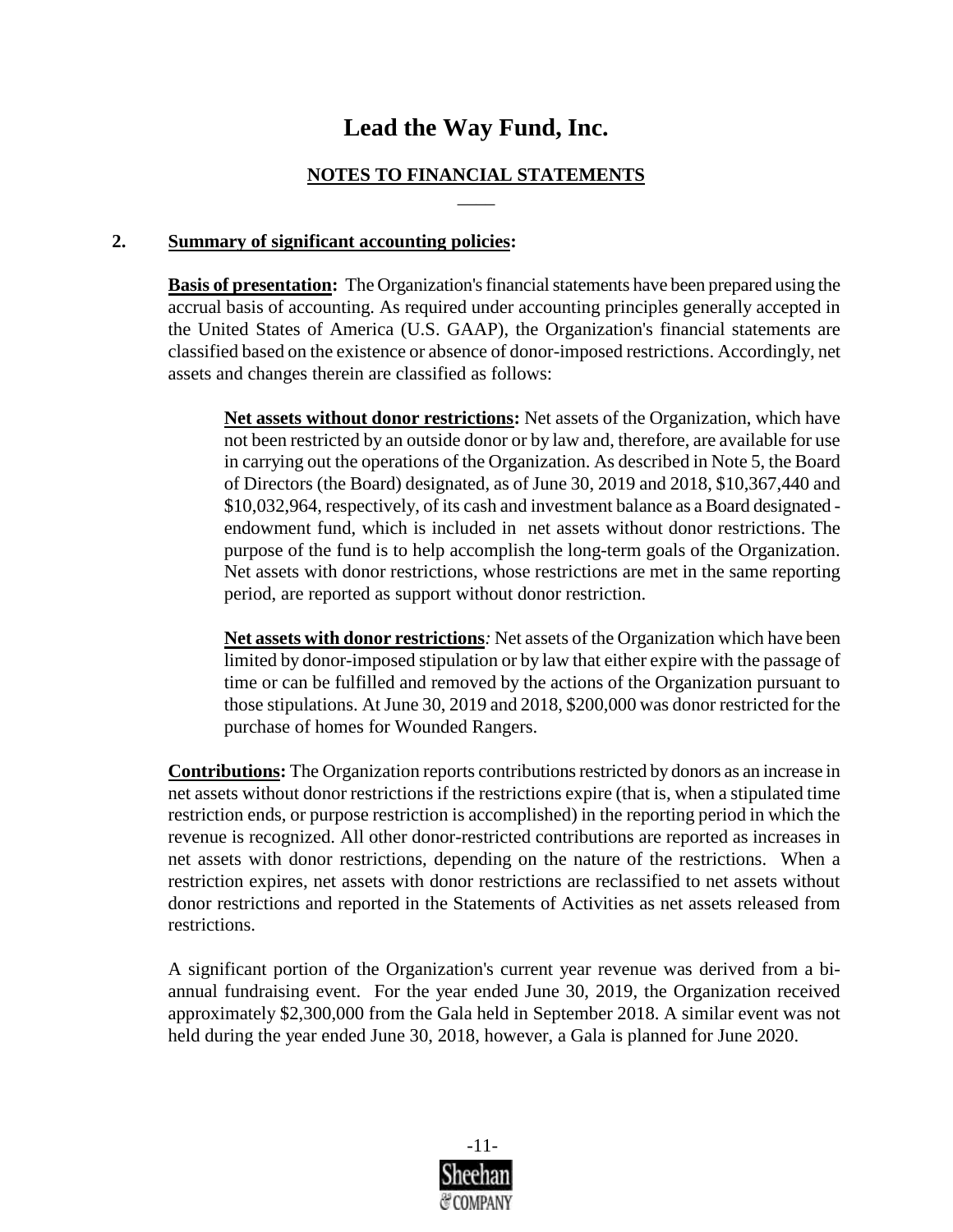#### **NOTES TO FINANCIAL STATEMENTS**  $\overline{\phantom{a}}$

#### **2. Summary of significant accounting policies:**

**Basis of presentation:** The Organization's financial statements have been prepared using the accrual basis of accounting. As required under accounting principles generally accepted in the United States of America (U.S. GAAP), the Organization's financial statements are classified based on the existence or absence of donor-imposed restrictions. Accordingly, net assets and changes therein are classified as follows:

**Net assets without donor restrictions:** Net assets of the Organization, which have not been restricted by an outside donor or by law and, therefore, are available for use in carrying out the operations of the Organization. As described in Note 5, the Board of Directors (the Board) designated, as of June 30, 2019 and 2018, \$10,367,440 and \$10,032,964, respectively, of its cash and investment balance as a Board designated endowment fund, which is included in net assets without donor restrictions. The purpose of the fund is to help accomplish the long-term goals of the Organization. Net assets with donor restrictions, whose restrictions are met in the same reporting period, are reported as support without donor restriction.

**Net assets with donor restrictions***:* Net assets of the Organization which have been limited by donor-imposed stipulation or by law that either expire with the passage of time or can be fulfilled and removed by the actions of the Organization pursuant to those stipulations. At June 30, 2019 and 2018, \$200,000 was donor restricted for the purchase of homes for Wounded Rangers.

**Contributions:** The Organization reports contributions restricted by donors as an increase in net assets without donor restrictions if the restrictions expire (that is, when a stipulated time restriction ends, or purpose restriction is accomplished) in the reporting period in which the revenue is recognized. All other donor-restricted contributions are reported as increases in net assets with donor restrictions, depending on the nature of the restrictions. When a restriction expires, net assets with donor restrictions are reclassified to net assets without donor restrictions and reported in the Statements of Activities as net assets released from restrictions.

A significant portion of the Organization's current year revenue was derived from a biannual fundraising event. For the year ended June 30, 2019, the Organization received approximately \$2,300,000 from the Gala held in September 2018. A similar event was not held during the year ended June 30, 2018, however, a Gala is planned for June 2020.

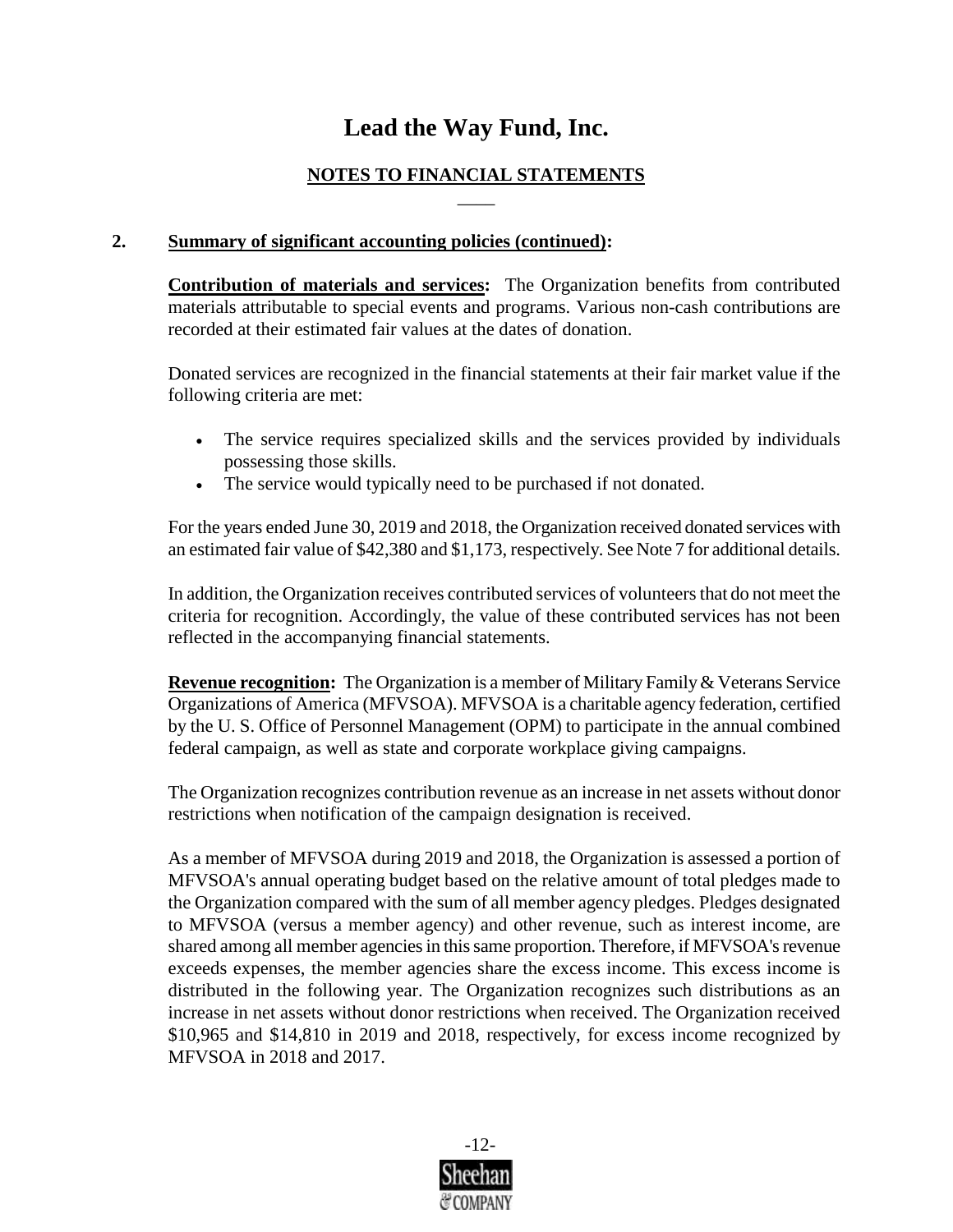#### **NOTES TO FINANCIAL STATEMENTS**  $\overline{\phantom{a}}$

#### **2. Summary of significant accounting policies (continued):**

**Contribution of materials and services:** The Organization benefits from contributed materials attributable to special events and programs. Various non-cash contributions are recorded at their estimated fair values at the dates of donation.

Donated services are recognized in the financial statements at their fair market value if the following criteria are met:

- The service requires specialized skills and the services provided by individuals possessing those skills.
- The service would typically need to be purchased if not donated.

For the years ended June 30, 2019 and 2018, the Organization received donated services with an estimated fair value of \$42,380 and \$1,173, respectively. See Note 7 for additional details.

In addition, the Organization receives contributed services of volunteers that do not meet the criteria for recognition. Accordingly, the value of these contributed services has not been reflected in the accompanying financial statements.

**Revenue recognition:** The Organization is a member of Military Family & Veterans Service Organizations of America (MFVSOA). MFVSOA is a charitable agency federation, certified by the U. S. Office of Personnel Management (OPM) to participate in the annual combined federal campaign, as well as state and corporate workplace giving campaigns.

The Organization recognizes contribution revenue as an increase in net assets without donor restrictions when notification of the campaign designation is received.

As a member of MFVSOA during 2019 and 2018, the Organization is assessed a portion of MFVSOA's annual operating budget based on the relative amount of total pledges made to the Organization compared with the sum of all member agency pledges. Pledges designated to MFVSOA (versus a member agency) and other revenue, such as interest income, are shared among all member agencies in this same proportion. Therefore, if MFVSOA's revenue exceeds expenses, the member agencies share the excess income. This excess income is distributed in the following year. The Organization recognizes such distributions as an increase in net assets without donor restrictions when received. The Organization received \$10,965 and \$14,810 in 2019 and 2018, respectively, for excess income recognized by MFVSOA in 2018 and 2017.

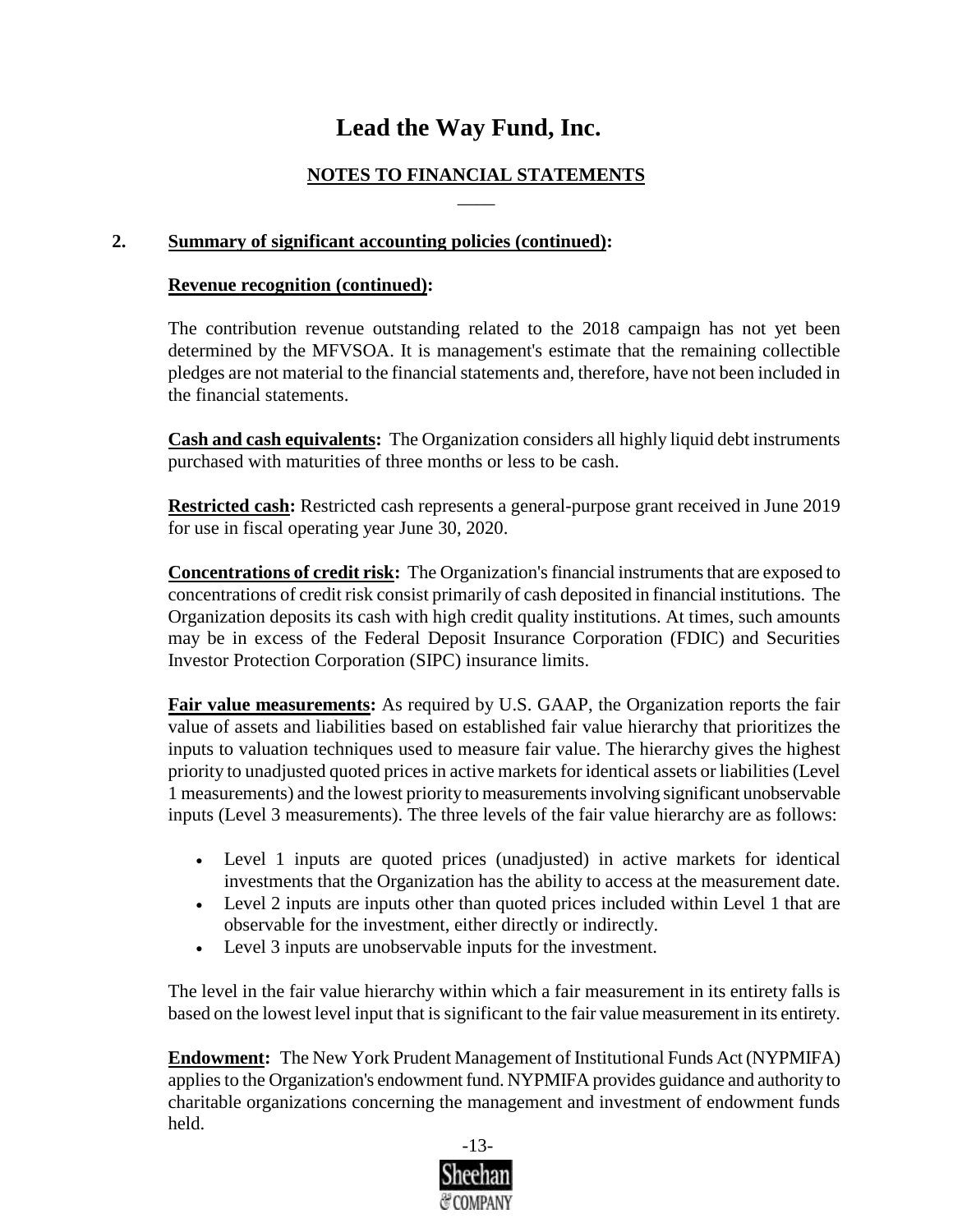#### **NOTES TO FINANCIAL STATEMENTS**  $\overline{\phantom{a}}$

#### **2. Summary of significant accounting policies (continued):**

#### **Revenue recognition (continued):**

The contribution revenue outstanding related to the 2018 campaign has not yet been determined by the MFVSOA. It is management's estimate that the remaining collectible pledges are not material to the financial statements and, therefore, have not been included in the financial statements.

**Cash and cash equivalents:** The Organization considers all highly liquid debt instruments purchased with maturities of three months or less to be cash.

**Restricted cash:** Restricted cash represents a general-purpose grant received in June 2019 for use in fiscal operating year June 30, 2020.

**Concentrations of credit risk:** The Organization's financial instruments that are exposed to concentrations of credit risk consist primarily of cash deposited in financial institutions. The Organization deposits its cash with high credit quality institutions. At times, such amounts may be in excess of the Federal Deposit Insurance Corporation (FDIC) and Securities Investor Protection Corporation (SIPC) insurance limits.

**Fair value measurements:** As required by U.S. GAAP, the Organization reports the fair value of assets and liabilities based on established fair value hierarchy that prioritizes the inputs to valuation techniques used to measure fair value. The hierarchy gives the highest priority to unadjusted quoted prices in active markets for identical assets or liabilities (Level 1 measurements) and the lowest priority to measurements involving significant unobservable inputs (Level 3 measurements). The three levels of the fair value hierarchy are as follows:

- Level 1 inputs are quoted prices (unadjusted) in active markets for identical investments that the Organization has the ability to access at the measurement date.
- Level 2 inputs are inputs other than quoted prices included within Level 1 that are observable for the investment, either directly or indirectly.
- Level 3 inputs are unobservable inputs for the investment.

The level in the fair value hierarchy within which a fair measurement in its entirety falls is based on the lowest level input that is significant to the fair value measurement in its entirety.

**Endowment:** The New York Prudent Management of Institutional Funds Act (NYPMIFA) applies to the Organization's endowment fund. NYPMIFA provides guidance and authority to charitable organizations concerning the management and investment of endowment funds held.

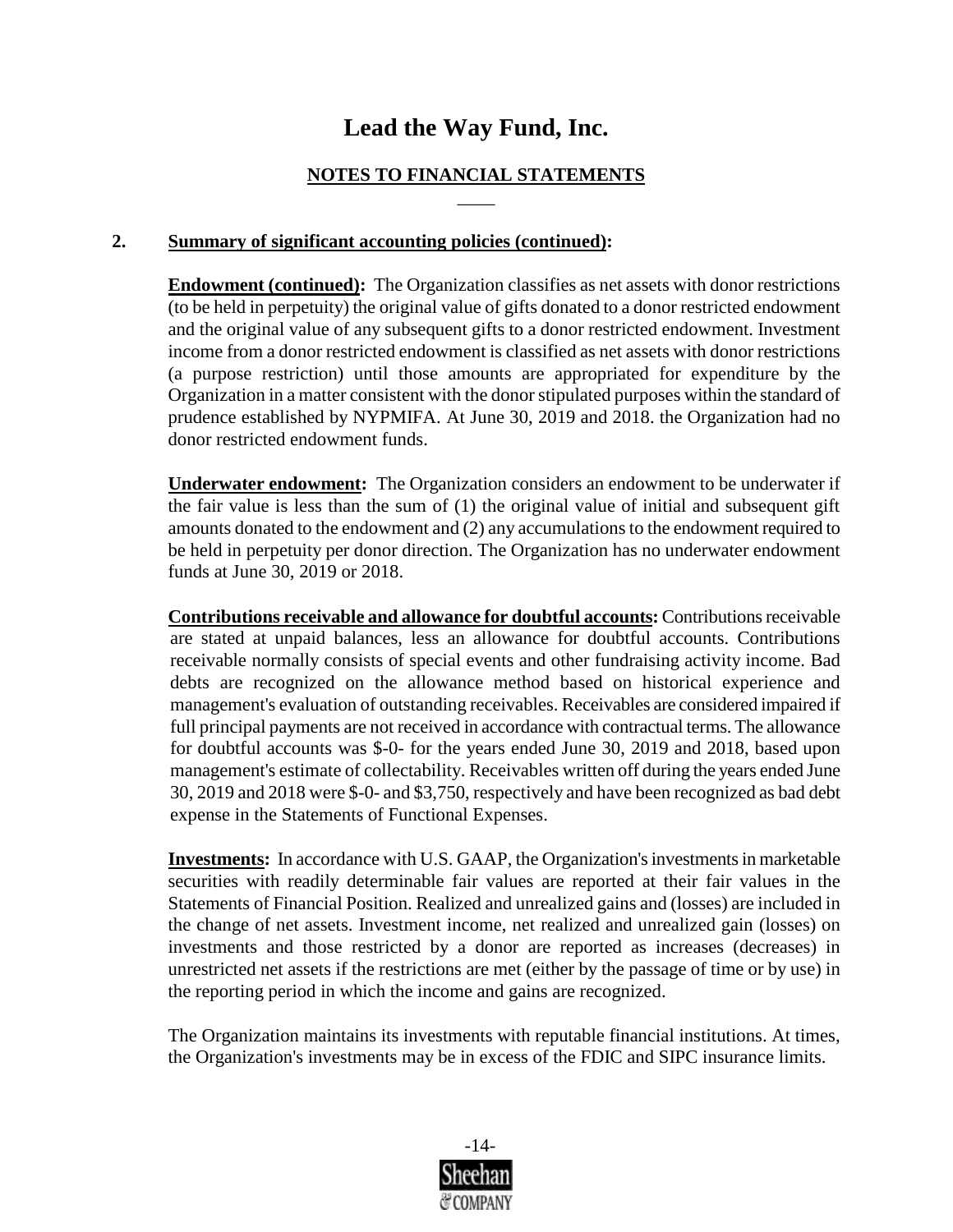#### **NOTES TO FINANCIAL STATEMENTS**  $\overline{\phantom{a}}$

#### **2. Summary of significant accounting policies (continued):**

**Endowment (continued):** The Organization classifies as net assets with donor restrictions (to be held in perpetuity) the original value of gifts donated to a donor restricted endowment and the original value of any subsequent gifts to a donor restricted endowment. Investment income from a donor restricted endowment is classified as net assets with donor restrictions (a purpose restriction) until those amounts are appropriated for expenditure by the Organization in a matter consistent with the donor stipulated purposes within the standard of prudence established by NYPMIFA. At June 30, 2019 and 2018. the Organization had no donor restricted endowment funds.

**Underwater endowment:** The Organization considers an endowment to be underwater if the fair value is less than the sum of (1) the original value of initial and subsequent gift amounts donated to the endowment and (2) any accumulations to the endowment required to be held in perpetuity per donor direction. The Organization has no underwater endowment funds at June 30, 2019 or 2018.

**Contributions receivable and allowance for doubtful accounts:** Contributions receivable are stated at unpaid balances, less an allowance for doubtful accounts. Contributions receivable normally consists of special events and other fundraising activity income. Bad debts are recognized on the allowance method based on historical experience and management's evaluation of outstanding receivables. Receivables are considered impaired if full principal payments are not received in accordance with contractual terms. The allowance for doubtful accounts was \$-0- for the years ended June 30, 2019 and 2018, based upon management's estimate of collectability. Receivables written off during the years ended June 30, 2019 and 2018 were \$-0- and \$3,750, respectively and have been recognized as bad debt expense in the Statements of Functional Expenses.

**Investments:** In accordance with U.S. GAAP, the Organization's investments in marketable securities with readily determinable fair values are reported at their fair values in the Statements of Financial Position. Realized and unrealized gains and (losses) are included in the change of net assets. Investment income, net realized and unrealized gain (losses) on investments and those restricted by a donor are reported as increases (decreases) in unrestricted net assets if the restrictions are met (either by the passage of time or by use) in the reporting period in which the income and gains are recognized.

The Organization maintains its investments with reputable financial institutions. At times, the Organization's investments may be in excess of the FDIC and SIPC insurance limits.

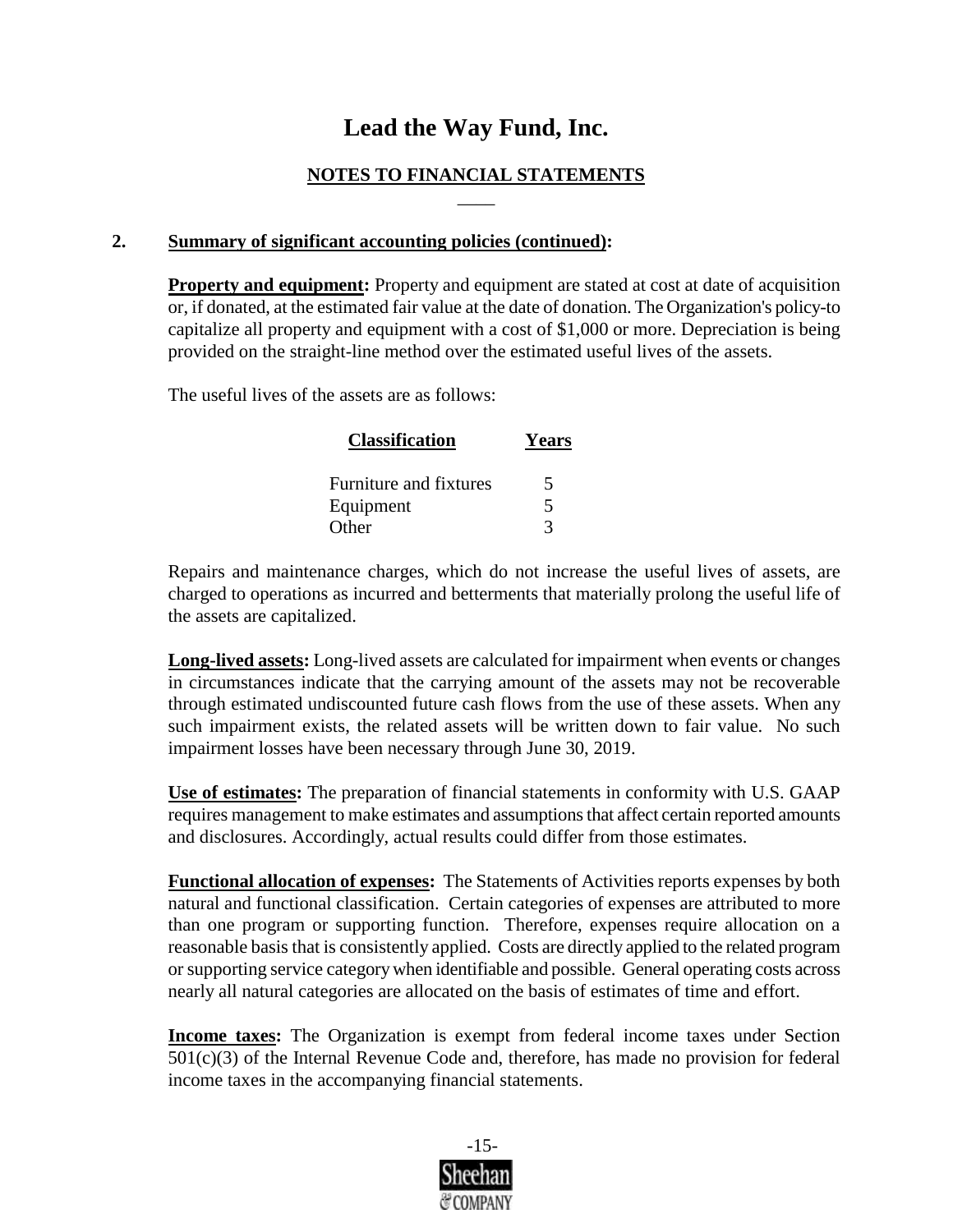#### **NOTES TO FINANCIAL STATEMENTS**  $\overline{\phantom{a}}$

#### **2. Summary of significant accounting policies (continued):**

**Property and equipment:** Property and equipment are stated at cost at date of acquisition or, if donated, at the estimated fair value at the date of donation. The Organization's policy-to capitalize all property and equipment with a cost of \$1,000 or more. Depreciation is being provided on the straight-line method over the estimated useful lives of the assets.

The useful lives of the assets are as follows:

| <b>Classification</b>  | Years |
|------------------------|-------|
| Furniture and fixtures | 5     |
| Equipment              | 5     |
| Other                  |       |

Repairs and maintenance charges, which do not increase the useful lives of assets, are charged to operations as incurred and betterments that materially prolong the useful life of the assets are capitalized.

**Long-lived assets:** Long-lived assets are calculated for impairment when events or changes in circumstances indicate that the carrying amount of the assets may not be recoverable through estimated undiscounted future cash flows from the use of these assets. When any such impairment exists, the related assets will be written down to fair value. No such impairment losses have been necessary through June 30, 2019.

**Use of estimates:** The preparation of financial statements in conformity with U.S. GAAP requires management to make estimates and assumptions that affect certain reported amounts and disclosures. Accordingly, actual results could differ from those estimates.

**Functional allocation of expenses:** The Statements of Activities reports expenses by both natural and functional classification. Certain categories of expenses are attributed to more than one program or supporting function. Therefore, expenses require allocation on a reasonable basis that is consistently applied. Costs are directly applied to the related program or supporting service categorywhen identifiable and possible. General operating costs across nearly all natural categories are allocated on the basis of estimates of time and effort.

**Income taxes:** The Organization is exempt from federal income taxes under Section  $501(c)(3)$  of the Internal Revenue Code and, therefore, has made no provision for federal income taxes in the accompanying financial statements.

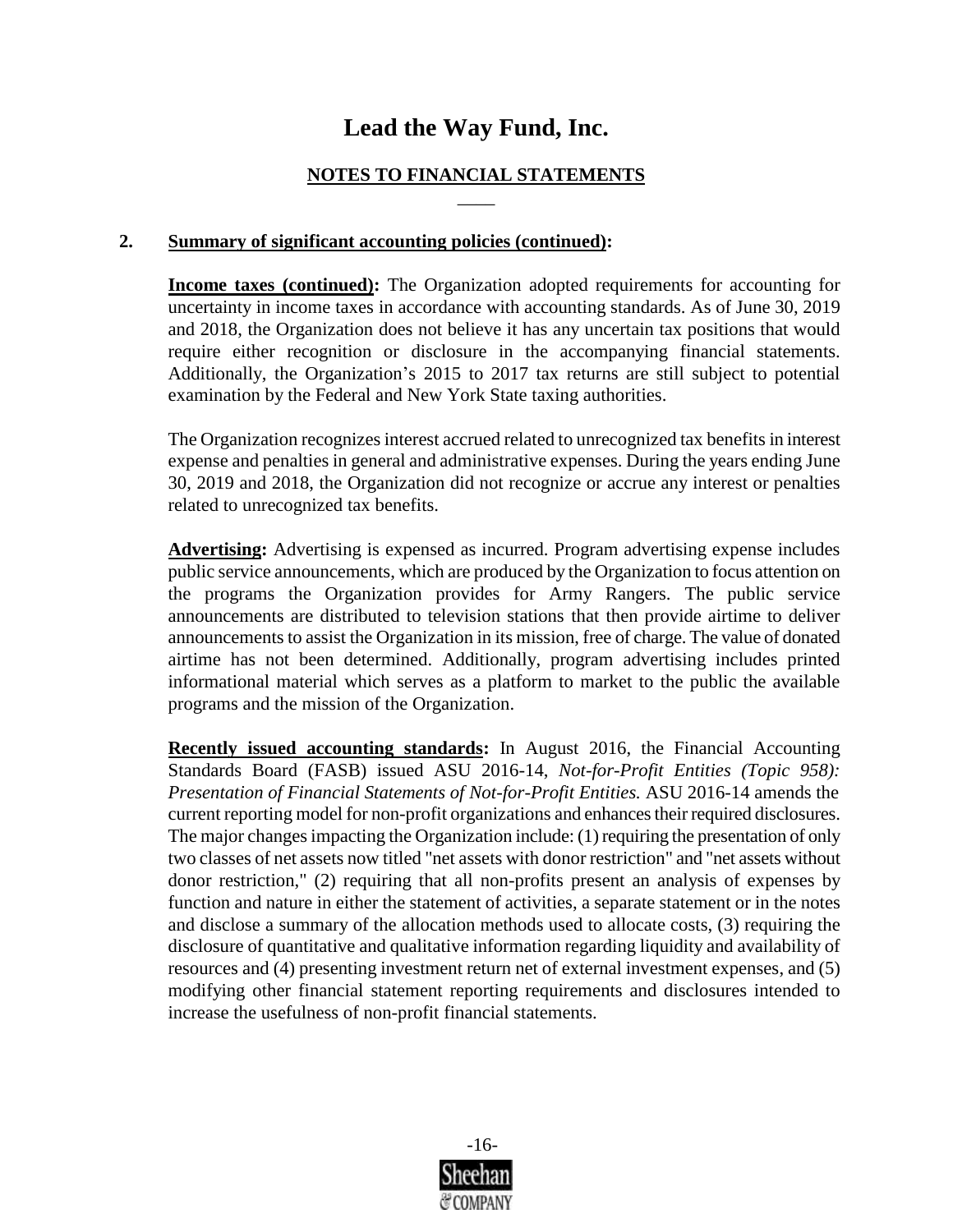#### **NOTES TO FINANCIAL STATEMENTS**  $\overline{\phantom{a}}$

#### **2. Summary of significant accounting policies (continued):**

**Income taxes (continued):** The Organization adopted requirements for accounting for uncertainty in income taxes in accordance with accounting standards. As of June 30, 2019 and 2018, the Organization does not believe it has any uncertain tax positions that would require either recognition or disclosure in the accompanying financial statements. Additionally, the Organization's 2015 to 2017 tax returns are still subject to potential examination by the Federal and New York State taxing authorities.

The Organization recognizes interest accrued related to unrecognized tax benefits in interest expense and penalties in general and administrative expenses. During the years ending June 30, 2019 and 2018, the Organization did not recognize or accrue any interest or penalties related to unrecognized tax benefits.

**Advertising:** Advertising is expensed as incurred. Program advertising expense includes public service announcements, which are produced by the Organization to focus attention on the programs the Organization provides for Army Rangers. The public service announcements are distributed to television stations that then provide airtime to deliver announcements to assist the Organization in its mission, free of charge. The value of donated airtime has not been determined. Additionally, program advertising includes printed informational material which serves as a platform to market to the public the available programs and the mission of the Organization.

**Recently issued accounting standards:** In August 2016, the Financial Accounting Standards Board (FASB) issued ASU 2016-14, *Not-for-Profit Entities (Topic 958): Presentation of Financial Statements of Not-for-Profit Entities.* ASU 2016-14 amends the current reporting model for non-profit organizations and enhances their required disclosures. The major changes impacting the Organization include: (1) requiring the presentation of only two classes of net assets now titled "net assets with donor restriction" and "net assets without donor restriction," (2) requiring that all non-profits present an analysis of expenses by function and nature in either the statement of activities, a separate statement or in the notes and disclose a summary of the allocation methods used to allocate costs, (3) requiring the disclosure of quantitative and qualitative information regarding liquidity and availability of resources and (4) presenting investment return net of external investment expenses, and (5) modifying other financial statement reporting requirements and disclosures intended to increase the usefulness of non-profit financial statements.

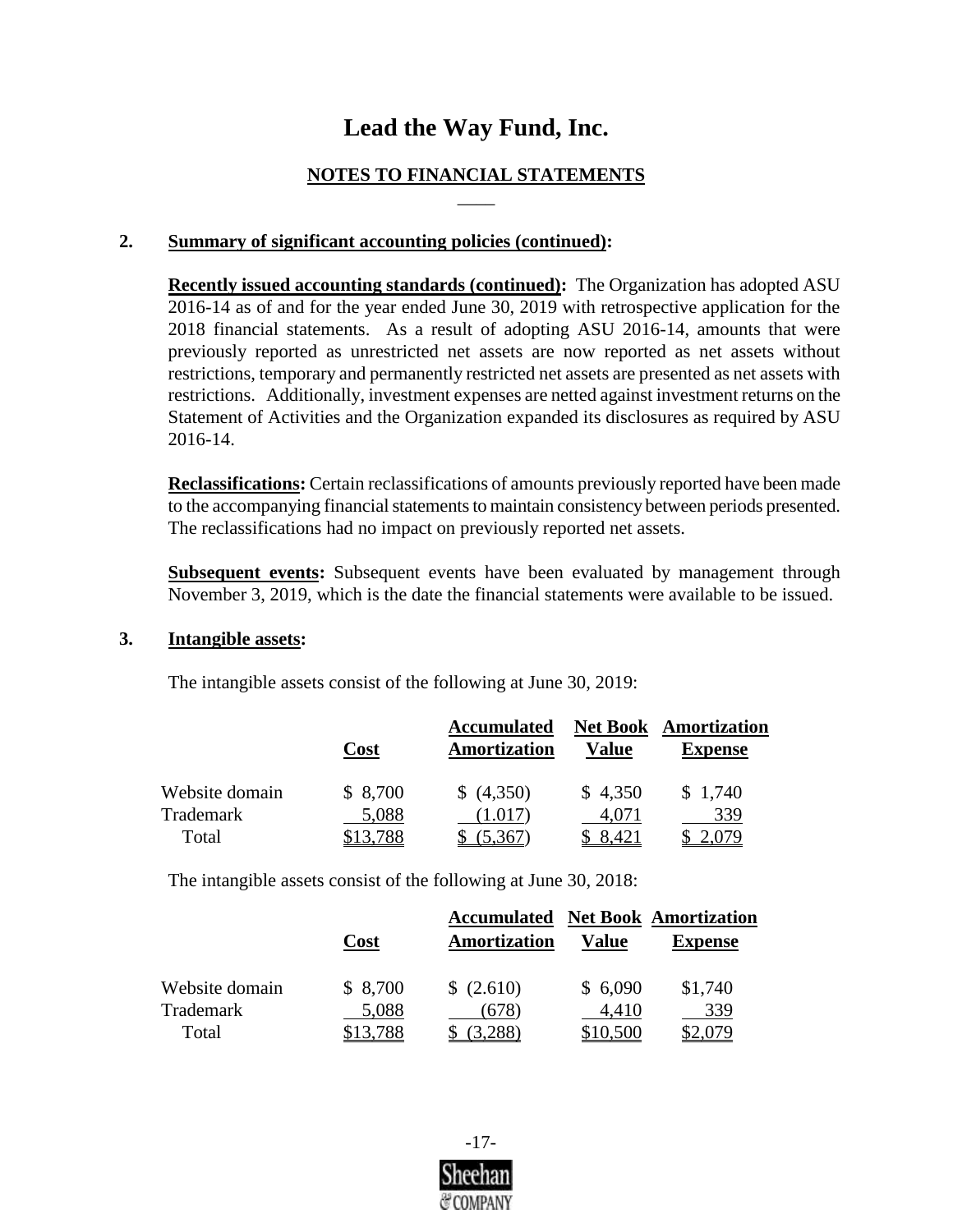#### **NOTES TO FINANCIAL STATEMENTS**  $\overline{\phantom{a}}$

#### **2. Summary of significant accounting policies (continued):**

**Recently issued accounting standards (continued):** The Organization has adopted ASU 2016-14 as of and for the year ended June 30, 2019 with retrospective application for the 2018 financial statements. As a result of adopting ASU 2016-14, amounts that were previously reported as unrestricted net assets are now reported as net assets without restrictions, temporary and permanently restricted net assets are presented as net assets with restrictions. Additionally, investment expenses are netted against investment returns on the Statement of Activities and the Organization expanded its disclosures as required by ASU 2016-14.

**Reclassifications:** Certain reclassifications of amounts previously reported have been made to the accompanying financial statements to maintain consistency between periods presented. The reclassifications had no impact on previously reported net assets.

**Subsequent events:** Subsequent events have been evaluated by management through November 3, 2019, which is the date the financial statements were available to be issued.

#### **3. Intangible assets:**

The intangible assets consist of the following at June 30, 2019:

|                |          | <b>Accumulated</b> | <b>Net Book</b> | Amortization   |
|----------------|----------|--------------------|-----------------|----------------|
|                | Cost     | Amortization       | Value           | <b>Expense</b> |
| Website domain | \$ 8,700 | (4,350)            | \$4,350         | \$1,740        |
| Trademark      | 5,088    | (1.017)            | 4,071           | 339            |
| Total          | 3,788    | 5.367              | .421            |                |

The intangible assets consist of the following at June 30, 2018:

|                |          | <b>Accumulated Net Book Amortization</b> |          |                |
|----------------|----------|------------------------------------------|----------|----------------|
|                | Cost     | Amortization                             | Value    | <b>Expense</b> |
| Website domain | \$ 8,700 | \$(2.610)                                | \$6,090  | \$1,740        |
| Trademark      | 5,088    | (678)                                    | 4,410    | 339            |
| Total          | 13,788   | $.288^{\circ}$                           | \$10,500 |                |

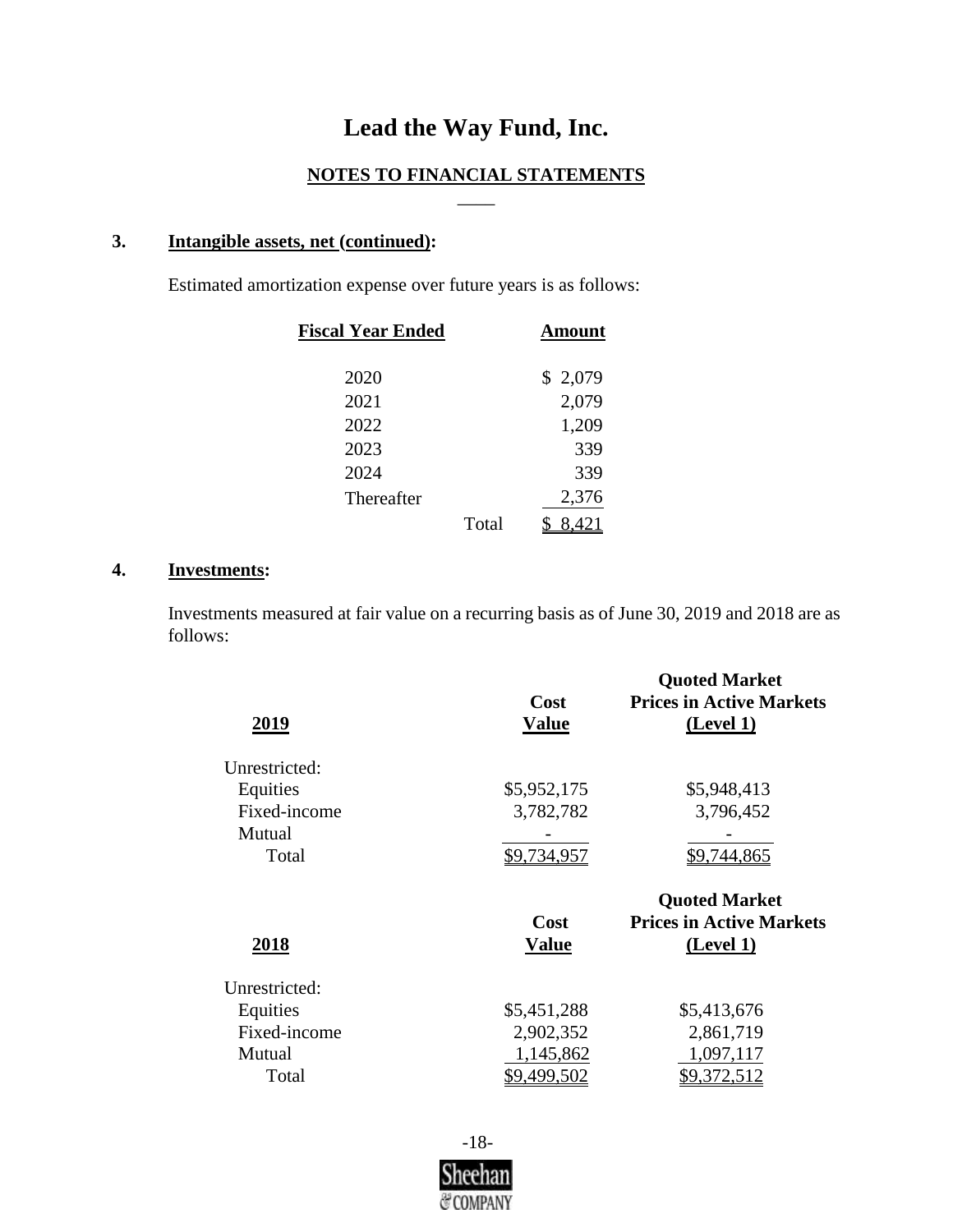#### **NOTES TO FINANCIAL STATEMENTS**  $\overline{\phantom{a}}$

#### **3. Intangible assets, net (continued):**

Estimated amortization expense over future years is as follows:

| <b>Fiscal Year Ended</b> |       | Amount  |
|--------------------------|-------|---------|
| 2020                     |       | \$2,079 |
| 2021                     |       | 2,079   |
| 2022                     |       | 1,209   |
| 2023                     |       | 339     |
| 2024                     |       | 339     |
| Thereafter               |       | 2,376   |
|                          | Total |         |

### **4. Investments:**

Investments measured at fair value on a recurring basis as of June 30, 2019 and 2018 are as follows:

| Cost<br><b>Value</b> | <b>Quoted Market</b><br><b>Prices in Active Markets</b><br>(Level 1) |
|----------------------|----------------------------------------------------------------------|
|                      |                                                                      |
| \$5,952,175          | \$5,948,413                                                          |
| 3,782,782            | 3,796,452                                                            |
|                      |                                                                      |
| \$9,734,957          | \$9,744,865                                                          |
|                      |                                                                      |
|                      | <b>Quoted Market</b>                                                 |
| Cost<br><b>Value</b> | <b>Prices in Active Markets</b><br>(Level 1)                         |
|                      |                                                                      |
| \$5,451,288          | \$5,413,676                                                          |
| 2,902,352            | 2,861,719                                                            |
| 1,145,862            | 1,097,117                                                            |
|                      |                                                                      |

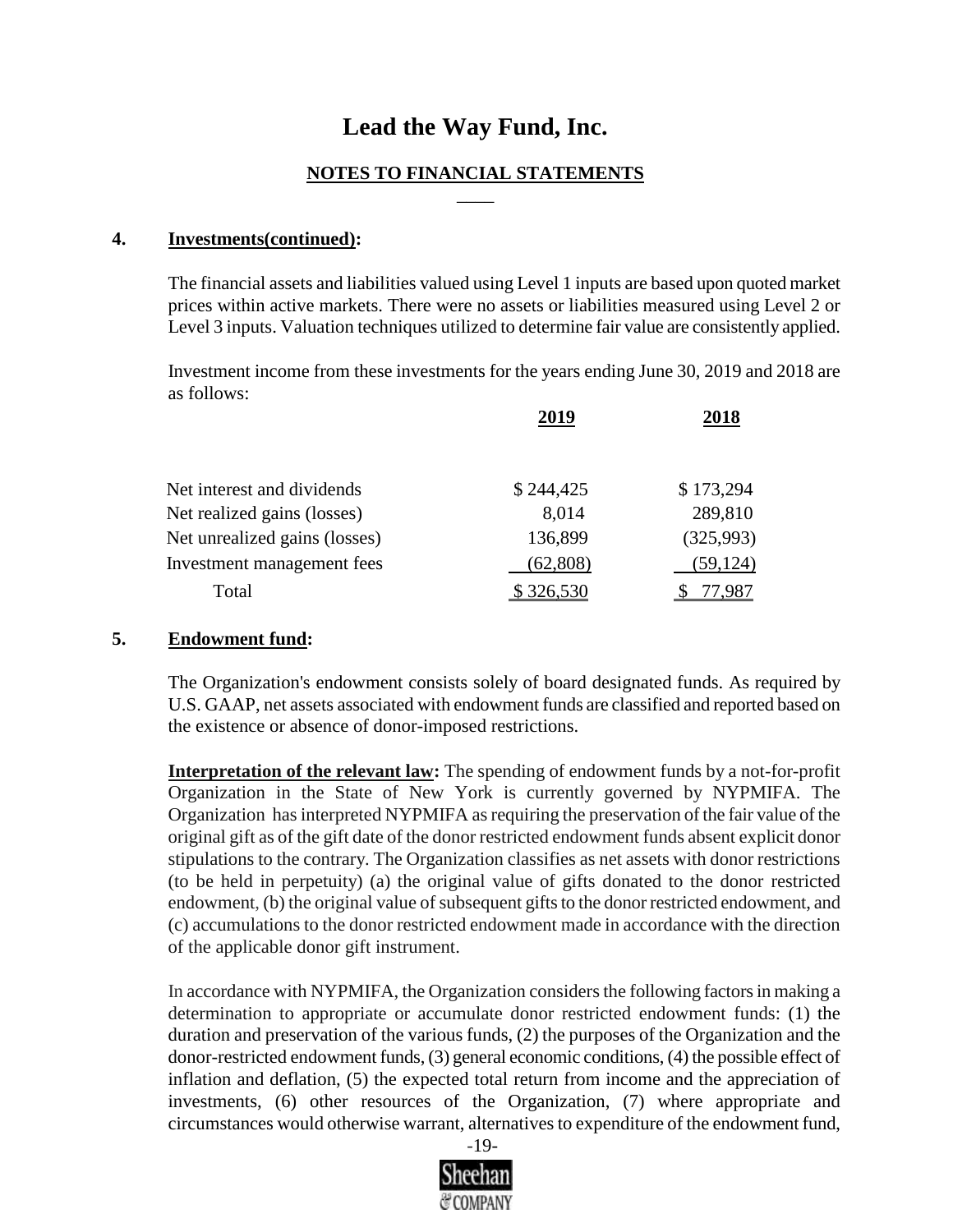#### **NOTES TO FINANCIAL STATEMENTS**  $\overline{\phantom{a}}$

#### **4. Investments(continued):**

The financial assets and liabilities valued using Level 1 inputs are based upon quoted market prices within active markets. There were no assets or liabilities measured using Level 2 or Level 3 inputs. Valuation techniques utilized to determine fair value are consistently applied.

Investment income from these investments for the years ending June 30, 2019 and 2018 are as follows:

|                               | 2019      | 2018      |
|-------------------------------|-----------|-----------|
| Net interest and dividends    | \$244,425 | \$173,294 |
| Net realized gains (losses)   | 8,014     | 289,810   |
| Net unrealized gains (losses) | 136,899   | (325,993) |
| Investment management fees    | (62, 808) | (59, 124) |
| Total                         | \$326,530 |           |

#### **5. Endowment fund:**

The Organization's endowment consists solely of board designated funds. As required by U.S. GAAP, net assets associated with endowment funds are classified and reported based on the existence or absence of donor-imposed restrictions.

**Interpretation of the relevant law:** The spending of endowment funds by a not-for-profit Organization in the State of New York is currently governed by NYPMIFA. The Organization has interpreted NYPMIFA as requiring the preservation of the fair value of the original gift as of the gift date of the donor restricted endowment funds absent explicit donor stipulations to the contrary. The Organization classifies as net assets with donor restrictions (to be held in perpetuity) (a) the original value of gifts donated to the donor restricted endowment, (b) the original value of subsequent gifts to the donor restricted endowment, and (c) accumulations to the donor restricted endowment made in accordance with the direction of the applicable donor gift instrument.

In accordance with NYPMIFA, the Organization considers the following factors in making a determination to appropriate or accumulate donor restricted endowment funds: (1) the duration and preservation of the various funds, (2) the purposes of the Organization and the donor-restricted endowment funds, (3) general economic conditions, (4) the possible effect of inflation and deflation, (5) the expected total return from income and the appreciation of investments, (6) other resources of the Organization, (7) where appropriate and circumstances would otherwise warrant, alternatives to expenditure of the endowment fund,

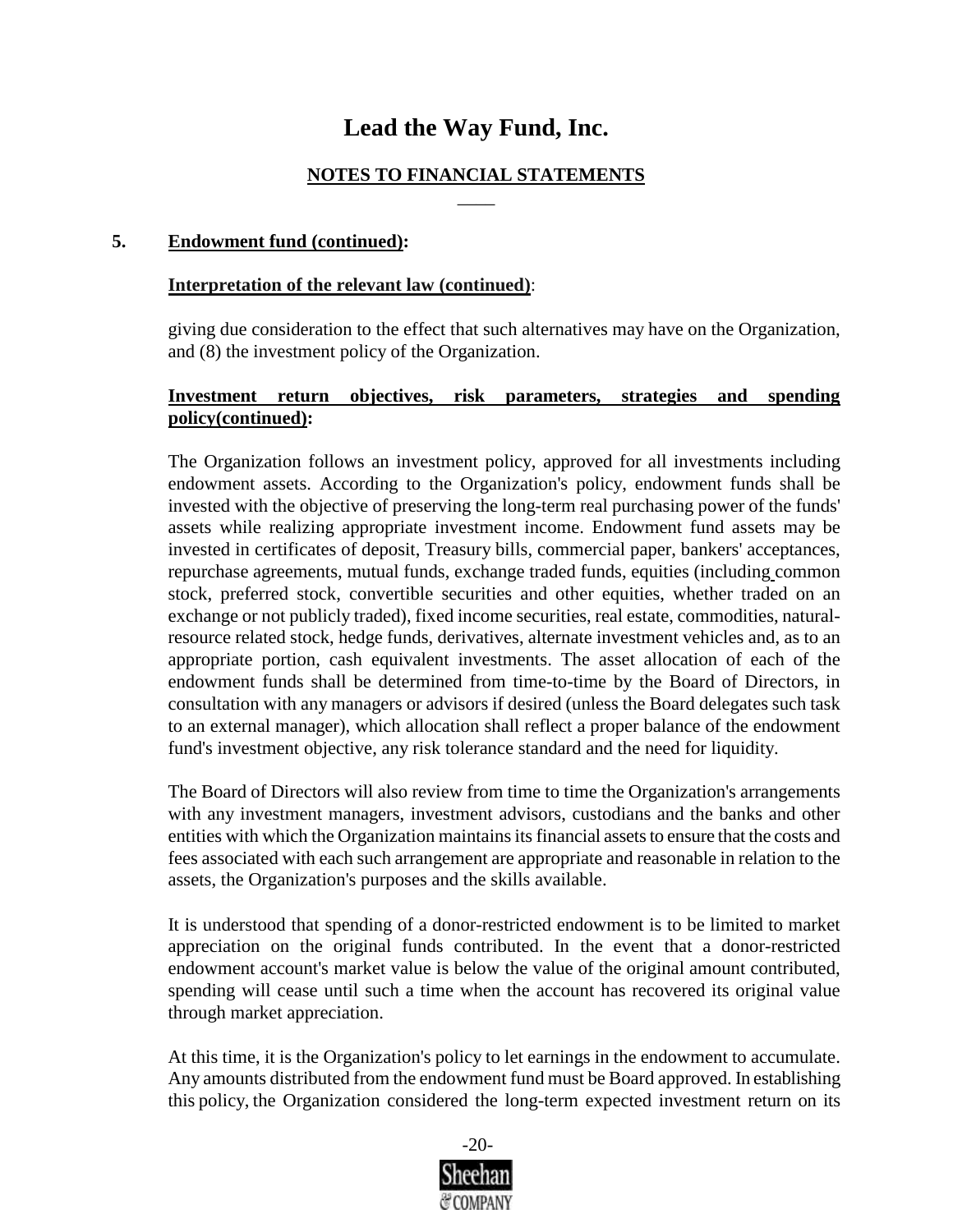#### **NOTES TO FINANCIAL STATEMENTS**  $\overline{\phantom{a}}$

#### **5. Endowment fund (continued):**

#### **Interpretation of the relevant law (continued)**:

giving due consideration to the effect that such alternatives may have on the Organization, and (8) the investment policy of the Organization.

#### **Investment return objectives, risk parameters, strategies and spending policy(continued):**

The Organization follows an investment policy, approved for all investments including endowment assets. According to the Organization's policy, endowment funds shall be invested with the objective of preserving the long-term real purchasing power of the funds' assets while realizing appropriate investment income. Endowment fund assets may be invested in certificates of deposit, Treasury bills, commercial paper, bankers' acceptances, repurchase agreements, mutual funds, exchange traded funds, equities (including common stock, preferred stock, convertible securities and other equities, whether traded on an exchange or not publicly traded), fixed income securities, real estate, commodities, naturalresource related stock, hedge funds, derivatives, alternate investment vehicles and, as to an appropriate portion, cash equivalent investments. The asset allocation of each of the endowment funds shall be determined from time-to-time by the Board of Directors, in consultation with any managers or advisors if desired (unless the Board delegates such task to an external manager), which allocation shall reflect a proper balance of the endowment fund's investment objective, any risk tolerance standard and the need for liquidity.

The Board of Directors will also review from time to time the Organization's arrangements with any investment managers, investment advisors, custodians and the banks and other entities with which the Organization maintains its financial assets to ensure that the costs and fees associated with each such arrangement are appropriate and reasonable in relation to the assets, the Organization's purposes and the skills available.

It is understood that spending of a donor-restricted endowment is to be limited to market appreciation on the original funds contributed. In the event that a donor-restricted endowment account's market value is below the value of the original amount contributed, spending will cease until such a time when the account has recovered its original value through market appreciation.

At this time, it is the Organization's policy to let earnings in the endowment to accumulate. Any amounts distributed from the endowment fund must be Board approved. In establishing this policy, the Organization considered the long-term expected investment return on its

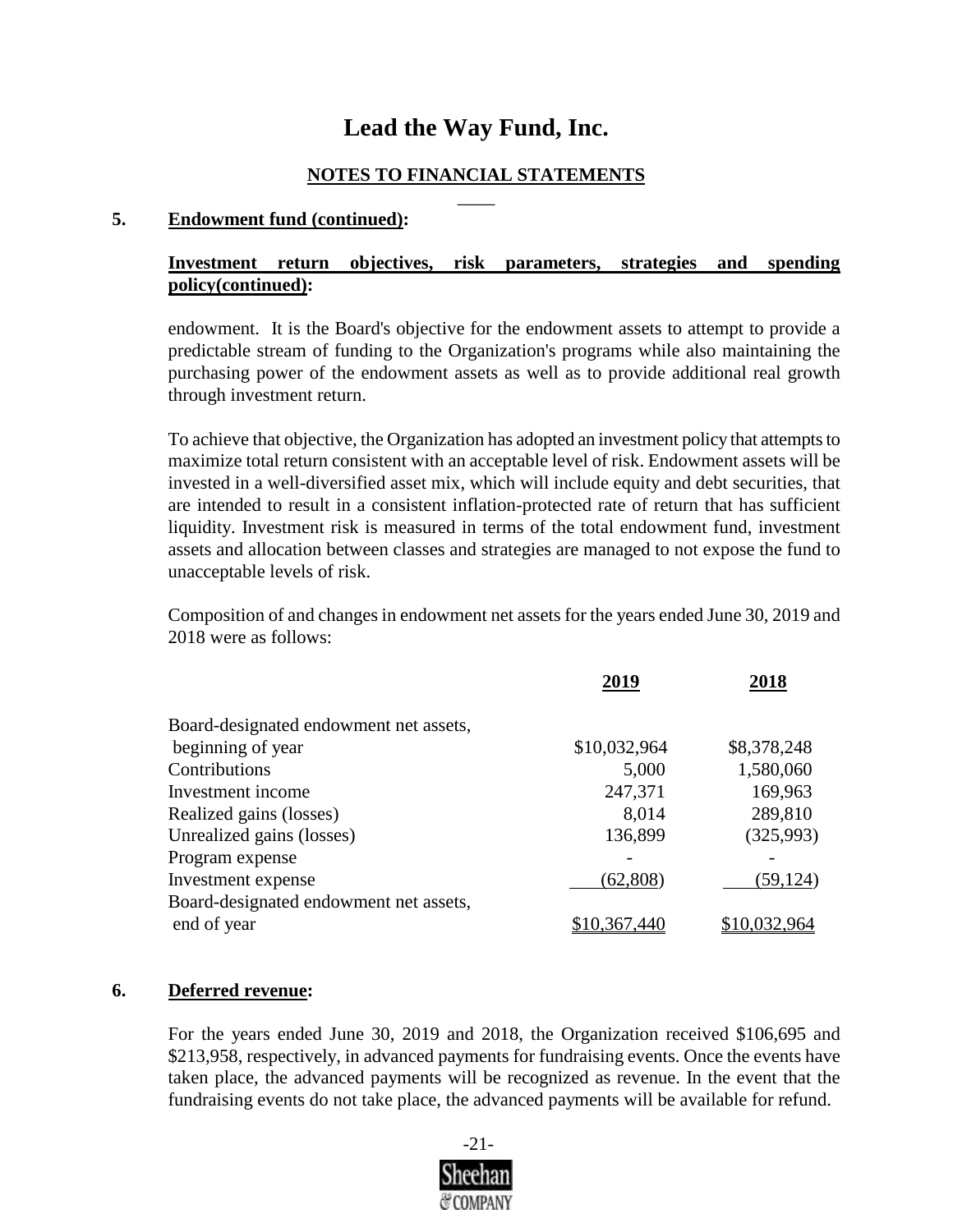#### **NOTES TO FINANCIAL STATEMENTS**  $\overline{\phantom{a}}$

#### **5. Endowment fund (continued):**

#### **Investment return objectives, risk parameters, strategies and spending policy(continued):**

endowment. It is the Board's objective for the endowment assets to attempt to provide a predictable stream of funding to the Organization's programs while also maintaining the purchasing power of the endowment assets as well as to provide additional real growth through investment return.

To achieve that objective, the Organization has adopted an investment policy that attempts to maximize total return consistent with an acceptable level of risk. Endowment assets will be invested in a well-diversified asset mix, which will include equity and debt securities, that are intended to result in a consistent inflation-protected rate of return that has sufficient liquidity. Investment risk is measured in terms of the total endowment fund, investment assets and allocation between classes and strategies are managed to not expose the fund to unacceptable levels of risk.

Composition of and changes in endowment net assets for the years ended June 30, 2019 and 2018 were as follows:

|                                        | 2019         | 2018         |
|----------------------------------------|--------------|--------------|
| Board-designated endowment net assets, |              |              |
| beginning of year                      | \$10,032,964 | \$8,378,248  |
| Contributions                          | 5,000        | 1,580,060    |
| Investment income                      | 247,371      | 169,963      |
| Realized gains (losses)                | 8,014        | 289,810      |
| Unrealized gains (losses)              | 136,899      | (325,993)    |
| Program expense                        |              |              |
| Investment expense                     | (62, 808)    | (59, 124)    |
| Board-designated endowment net assets, |              |              |
| end of year                            | \$10,367,440 | \$10,032,964 |
|                                        |              |              |

#### **6. Deferred revenue:**

For the years ended June 30, 2019 and 2018, the Organization received \$106,695 and \$213,958, respectively, in advanced payments for fundraising events. Once the events have taken place, the advanced payments will be recognized as revenue. In the event that the fundraising events do not take place, the advanced payments will be available for refund.

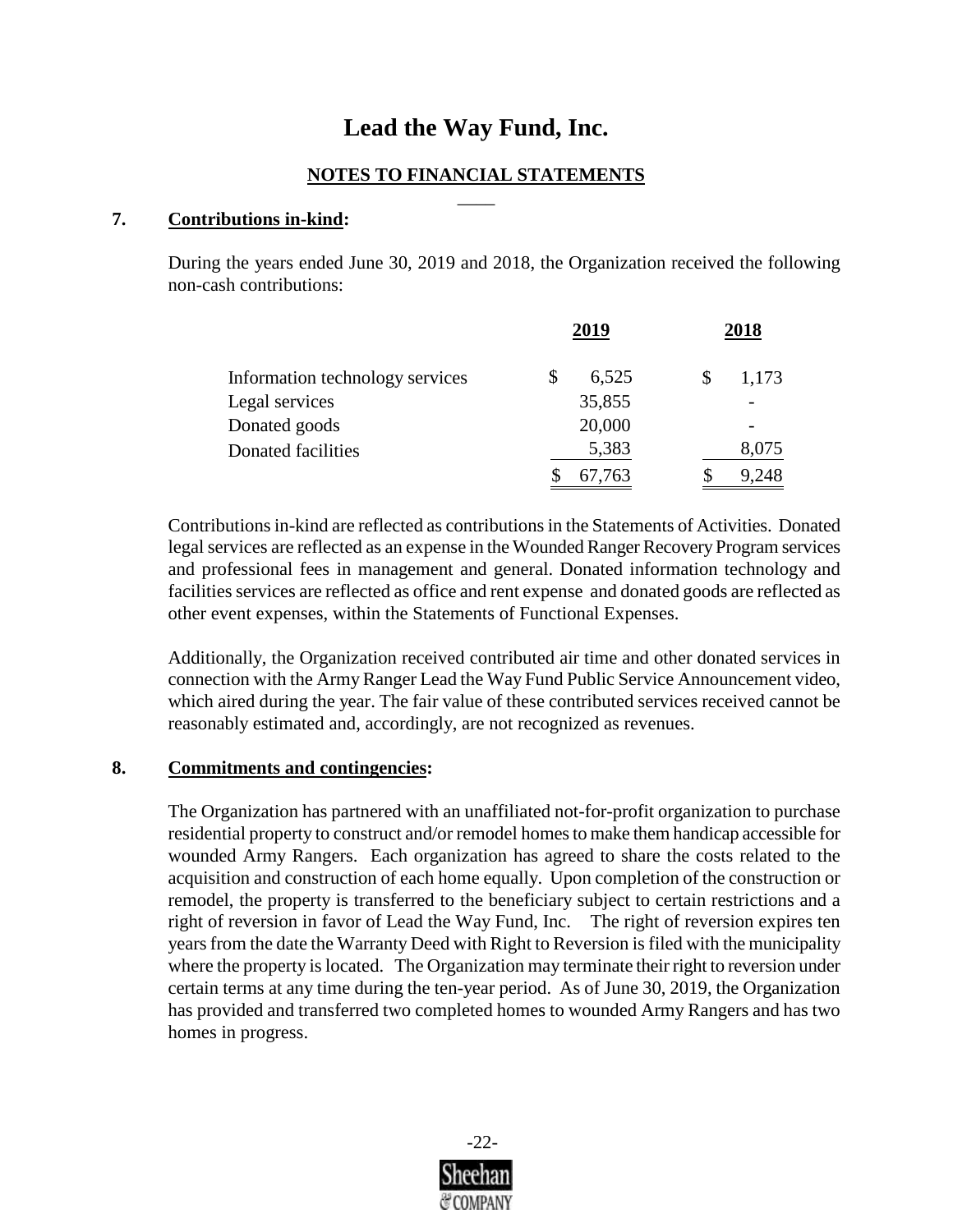#### **NOTES TO FINANCIAL STATEMENTS**  $\overline{\phantom{a}}$

#### **7. Contributions in-kind:**

During the years ended June 30, 2019 and 2018, the Organization received the following non-cash contributions:

|                                 | 2019   |             | 2018  |
|---------------------------------|--------|-------------|-------|
| Information technology services | \$     | 6,525<br>\$ | 1,173 |
| Legal services                  | 35,855 |             |       |
| Donated goods                   | 20,000 |             |       |
| Donated facilities              | 5,383  |             | 8,075 |
|                                 | 67,763 |             | 9,248 |

Contributions in-kind are reflected as contributions in the Statements of Activities. Donated legal services are reflected as an expense in the Wounded Ranger Recovery Program services and professional fees in management and general. Donated information technology and facilities services are reflected as office and rent expense and donated goods are reflected as other event expenses, within the Statements of Functional Expenses.

Additionally, the Organization received contributed air time and other donated services in connection with the Army Ranger Lead the Way Fund Public Service Announcement video, which aired during the year. The fair value of these contributed services received cannot be reasonably estimated and, accordingly, are not recognized as revenues.

#### **8. Commitments and contingencies:**

The Organization has partnered with an unaffiliated not-for-profit organization to purchase residential property to construct and/or remodel homes to make them handicap accessible for wounded Army Rangers. Each organization has agreed to share the costs related to the acquisition and construction of each home equally. Upon completion of the construction or remodel, the property is transferred to the beneficiary subject to certain restrictions and a right of reversion in favor of Lead the Way Fund, Inc. The right of reversion expires ten years from the date the Warranty Deed with Right to Reversion is filed with the municipality where the property is located. The Organization may terminate their right to reversion under certain terms at any time during the ten-year period. As of June 30, 2019, the Organization has provided and transferred two completed homes to wounded Army Rangers and has two homes in progress.

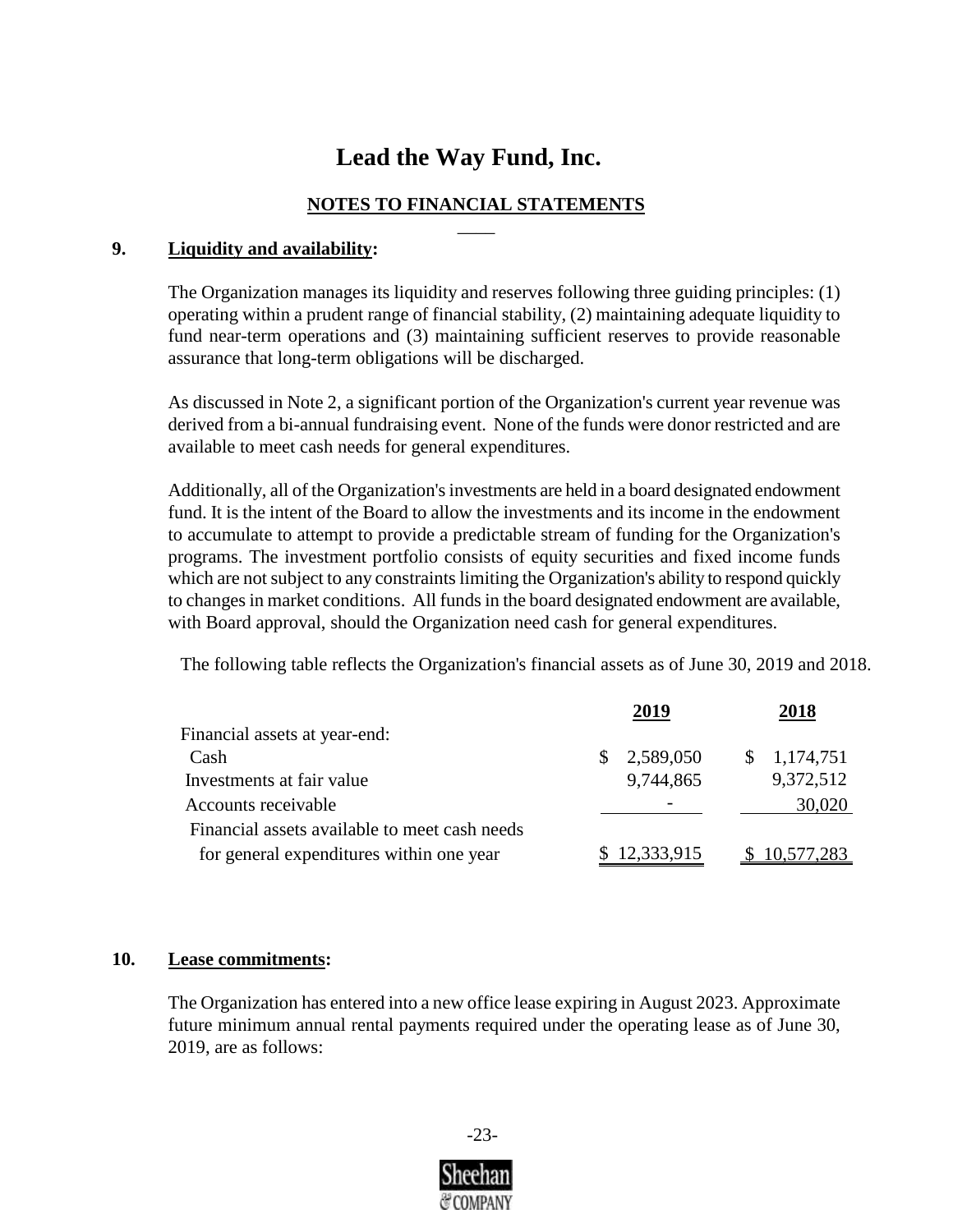#### **NOTES TO FINANCIAL STATEMENTS**  $\overline{\phantom{a}}$

#### **9. Liquidity and availability:**

The Organization manages its liquidity and reserves following three guiding principles: (1) operating within a prudent range of financial stability, (2) maintaining adequate liquidity to fund near-term operations and (3) maintaining sufficient reserves to provide reasonable assurance that long-term obligations will be discharged.

As discussed in Note 2, a significant portion of the Organization's current year revenue was derived from a bi-annual fundraising event. None of the funds were donor restricted and are available to meet cash needs for general expenditures.

Additionally, all of the Organization's investments are held in a board designated endowment fund. It is the intent of the Board to allow the investments and its income in the endowment to accumulate to attempt to provide a predictable stream of funding for the Organization's programs. The investment portfolio consists of equity securities and fixed income funds which are not subject to any constraints limiting the Organization's ability to respond quickly to changes in market conditions. All funds in the board designated endowment are available, with Board approval, should the Organization need cash for general expenditures.

The following table reflects the Organization's financial assets as of June 30, 2019 and 2018.

|                                               | 2019            | 2018         |
|-----------------------------------------------|-----------------|--------------|
| Financial assets at year-end:                 |                 |              |
| Cash                                          | 2,589,050<br>S. | \$1,174,751  |
| Investments at fair value                     | 9,744,865       | 9,372,512    |
| Accounts receivable                           |                 | 30,020       |
| Financial assets available to meet cash needs |                 |              |
| for general expenditures within one year      | \$12,333,915    | \$10,577,283 |

#### **10. Lease commitments:**

The Organization has entered into a new office lease expiring in August 2023. Approximate future minimum annual rental payments required under the operating lease as of June 30, 2019, are as follows: